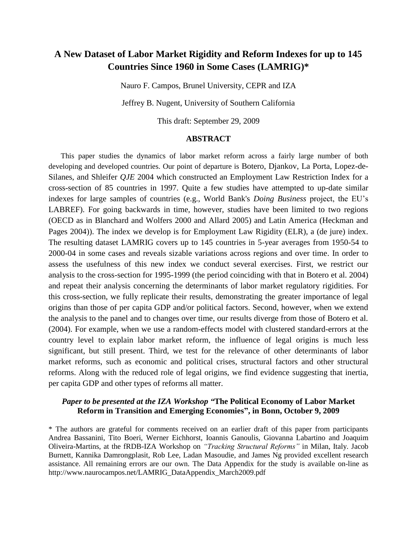# **A New Dataset of Labor Market Rigidity and Reform Indexes for up to 145 Countries Since 1960 in Some Cases (LAMRIG)\***

Nauro F. Campos, Brunel University, CEPR and IZA

Jeffrey B. Nugent, University of Southern California

This draft: September 29, 2009

#### **ABSTRACT**

This paper studies the dynamics of labor market reform across a fairly large number of both developing and developed countries. Our point of departure is Botero, Djankov, La Porta, Lopez-de-Silanes, and Shleifer *QJE* 2004 which constructed an Employment Law Restriction Index for a cross-section of 85 countries in 1997. Quite a few studies have attempted to up-date similar indexes for large samples of countries (e.g., World Bank's *Doing Business* project, the EU's LABREF). For going backwards in time, however, studies have been limited to two regions (OECD as in Blanchard and Wolfers 2000 and Allard 2005) and Latin America (Heckman and Pages 2004)). The index we develop is for Employment Law Rigidity (ELR), a (de jure) index. The resulting dataset LAMRIG covers up to 145 countries in 5-year averages from 1950-54 to 2000-04 in some cases and reveals sizable variations across regions and over time. In order to assess the usefulness of this new index we conduct several exercises. First, we restrict our analysis to the cross-section for 1995-1999 (the period coinciding with that in Botero et al. 2004) and repeat their analysis concerning the determinants of labor market regulatory rigidities. For this cross-section, we fully replicate their results, demonstrating the greater importance of legal origins than those of per capita GDP and/or political factors. Second, however, when we extend the analysis to the panel and to changes over time, our results diverge from those of Botero et al. (2004). For example, when we use a random-effects model with clustered standard-errors at the country level to explain labor market reform, the influence of legal origins is much less significant, but still present. Third, we test for the relevance of other determinants of labor market reforms, such as economic and political crises, structural factors and other structural reforms. Along with the reduced role of legal origins, we find evidence suggesting that inertia, per capita GDP and other types of reforms all matter.

## *Paper to be presented at the IZA Workshop "***The Political Economy of Labor Market Reform in Transition and Emerging Economies", in Bonn, October 9, 2009**

\* The authors are grateful for comments received on an earlier draft of this paper from participants Andrea Bassanini, Tito Boeri, Werner Eichhorst, Ioannis Ganoulis, Giovanna Labartino and Joaquim Oliveira-Martins, at the fRDB-IZA Workshop on *"Tracking Structural Reforms"* in Milan, Italy*.* Jacob Burnett, Kannika Damrongplasit, Rob Lee, Ladan Masoudie, and James Ng provided excellent research assistance. All remaining errors are our own. The Data Appendix for the study is available on-line as http://www.naurocampos.net/LAMRIG\_DataAppendix\_March2009.pdf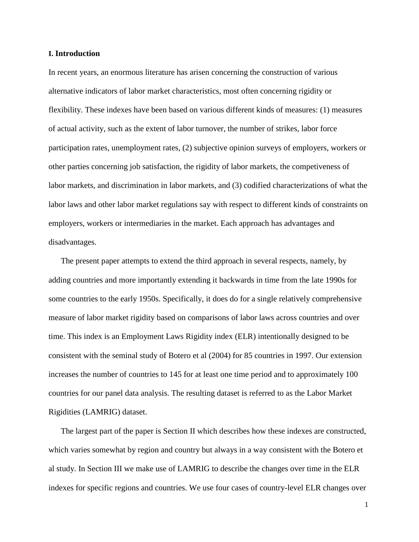## **I. Introduction**

In recent years, an enormous literature has arisen concerning the construction of various alternative indicators of labor market characteristics, most often concerning rigidity or flexibility. These indexes have been based on various different kinds of measures: (1) measures of actual activity, such as the extent of labor turnover, the number of strikes, labor force participation rates, unemployment rates, (2) subjective opinion surveys of employers, workers or other parties concerning job satisfaction, the rigidity of labor markets, the competiveness of labor markets, and discrimination in labor markets, and (3) codified characterizations of what the labor laws and other labor market regulations say with respect to different kinds of constraints on employers, workers or intermediaries in the market. Each approach has advantages and disadvantages.

The present paper attempts to extend the third approach in several respects, namely, by adding countries and more importantly extending it backwards in time from the late 1990s for some countries to the early 1950s. Specifically, it does do for a single relatively comprehensive measure of labor market rigidity based on comparisons of labor laws across countries and over time. This index is an Employment Laws Rigidity index (ELR) intentionally designed to be consistent with the seminal study of Botero et al (2004) for 85 countries in 1997. Our extension increases the number of countries to 145 for at least one time period and to approximately 100 countries for our panel data analysis. The resulting dataset is referred to as the Labor Market Rigidities (LAMRIG) dataset.

The largest part of the paper is Section II which describes how these indexes are constructed, which varies somewhat by region and country but always in a way consistent with the Botero et al study. In Section III we make use of LAMRIG to describe the changes over time in the ELR indexes for specific regions and countries. We use four cases of country-level ELR changes over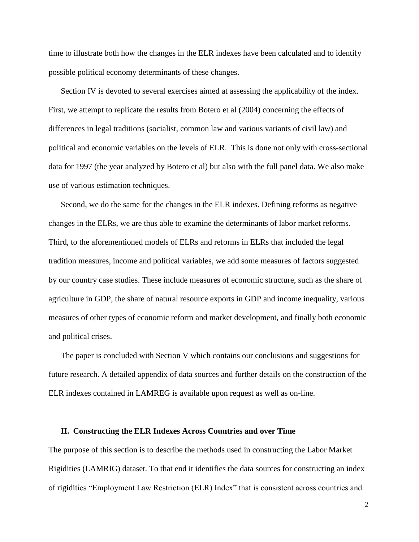time to illustrate both how the changes in the ELR indexes have been calculated and to identify possible political economy determinants of these changes.

Section IV is devoted to several exercises aimed at assessing the applicability of the index. First, we attempt to replicate the results from Botero et al (2004) concerning the effects of differences in legal traditions (socialist, common law and various variants of civil law) and political and economic variables on the levels of ELR. This is done not only with cross-sectional data for 1997 (the year analyzed by Botero et al) but also with the full panel data. We also make use of various estimation techniques.

Second, we do the same for the changes in the ELR indexes. Defining reforms as negative changes in the ELRs, we are thus able to examine the determinants of labor market reforms. Third, to the aforementioned models of ELRs and reforms in ELRs that included the legal tradition measures, income and political variables, we add some measures of factors suggested by our country case studies. These include measures of economic structure, such as the share of agriculture in GDP, the share of natural resource exports in GDP and income inequality, various measures of other types of economic reform and market development, and finally both economic and political crises.

The paper is concluded with Section V which contains our conclusions and suggestions for future research. A detailed appendix of data sources and further details on the construction of the ELR indexes contained in LAMREG is available upon request as well as on-line.

#### **II. Constructing the ELR Indexes Across Countries and over Time**

The purpose of this section is to describe the methods used in constructing the Labor Market Rigidities (LAMRIG) dataset. To that end it identifies the data sources for constructing an index of rigidities "Employment Law Restriction (ELR) Index" that is consistent across countries and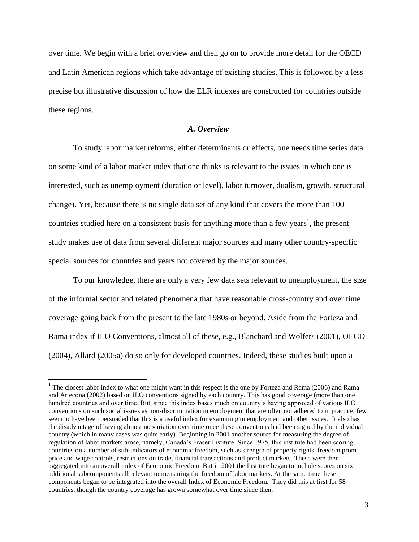over time. We begin with a brief overview and then go on to provide more detail for the OECD and Latin American regions which take advantage of existing studies. This is followed by a less precise but illustrative discussion of how the ELR indexes are constructed for countries outside these regions.

## *A. Overview*

To study labor market reforms, either determinants or effects, one needs time series data on some kind of a labor market index that one thinks is relevant to the issues in which one is interested, such as unemployment (duration or level), labor turnover, dualism, growth, structural change). Yet, because there is no single data set of any kind that covers the more than 100 countries studied here on a consistent basis for anything more than a few years<sup>1</sup>, the present study makes use of data from several different major sources and many other country-specific special sources for countries and years not covered by the major sources.

To our knowledge, there are only a very few data sets relevant to unemployment, the size of the informal sector and related phenomena that have reasonable cross-country and over time coverage going back from the present to the late 1980s or beyond. Aside from the Forteza and Rama index if ILO Conventions, almost all of these, e.g., Blanchard and Wolfers (2001), OECD (2004), Allard (2005a) do so only for developed countries. Indeed, these studies built upon a

<sup>&</sup>lt;sup>1</sup> The closest labor index to what one might want in this respect is the one by Forteza and Rama (2006) and Rama and Artecona (2002) based on ILO conventions signed by each country. This has good coverage (more than one hundred countries and over time. But, since this index bases much on country's having approved of various ILO conventions on such social issues as non-discrimination in employment that are often not adhered to in practice, few seem to have been persuaded that this is a useful index for examining unemployment and other issues. It also has the disadvantage of having almost no variation over time once these conventions had been signed by the individual country (which in many cases was quite early). Beginning in 2001 another source for measuring the degree of regulation of labor markets arose, namely, Canada's Fraser Institute. Since 1975, this institute had been scoring countries on a number of sub-indicators of economic freedom, such as strength of property rights, freedom prom price and wage controls, restrictions on trade, financial transactions and product markets. These were then aggregated into an overall index of Economic Freedom. But in 2001 the Institute began to include scores on six additional subcomponents all relevant to measuring the freedom of labor markets. At the same time these components began to be integrated into the overall Index of Economic Freedom. They did this at first for 58 countries, though the country coverage has grown somewhat over time since then.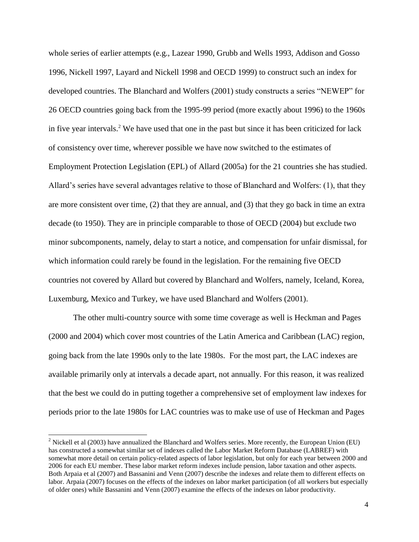whole series of earlier attempts (e.g., Lazear 1990, Grubb and Wells 1993, Addison and Gosso 1996, Nickell 1997, Layard and Nickell 1998 and OECD 1999) to construct such an index for developed countries. The Blanchard and Wolfers (2001) study constructs a series "NEWEP" for 26 OECD countries going back from the 1995-99 period (more exactly about 1996) to the 1960s in five year intervals.<sup>2</sup> We have used that one in the past but since it has been criticized for lack of consistency over time, wherever possible we have now switched to the estimates of Employment Protection Legislation (EPL) of Allard (2005a) for the 21 countries she has studied. Allard's series have several advantages relative to those of Blanchard and Wolfers: (1), that they are more consistent over time, (2) that they are annual, and (3) that they go back in time an extra decade (to 1950). They are in principle comparable to those of OECD (2004) but exclude two minor subcomponents, namely, delay to start a notice, and compensation for unfair dismissal, for which information could rarely be found in the legislation. For the remaining five OECD countries not covered by Allard but covered by Blanchard and Wolfers, namely, Iceland, Korea, Luxemburg, Mexico and Turkey, we have used Blanchard and Wolfers (2001).

The other multi-country source with some time coverage as well is Heckman and Pages (2000 and 2004) which cover most countries of the Latin America and Caribbean (LAC) region, going back from the late 1990s only to the late 1980s. For the most part, the LAC indexes are available primarily only at intervals a decade apart, not annually. For this reason, it was realized that the best we could do in putting together a comprehensive set of employment law indexes for periods prior to the late 1980s for LAC countries was to make use of use of Heckman and Pages

 $2$  Nickell et al (2003) have annualized the Blanchard and Wolfers series. More recently, the European Union (EU) has constructed a somewhat similar set of indexes called the Labor Market Reform Database (LABREF) with somewhat more detail on certain policy-related aspects of labor legislation, but only for each year between 2000 and 2006 for each EU member. These labor market reform indexes include pension, labor taxation and other aspects. Both Arpaia et al (2007) and Bassanini and Venn (2007) describe the indexes and relate them to different effects on labor. Arpaia (2007) focuses on the effects of the indexes on labor market participation (of all workers but especially of older ones) while Bassanini and Venn (2007) examine the effects of the indexes on labor productivity.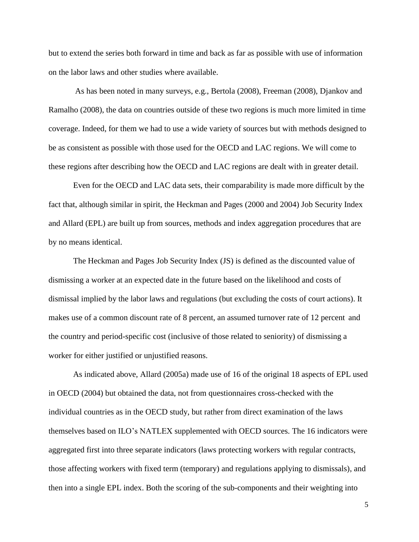but to extend the series both forward in time and back as far as possible with use of information on the labor laws and other studies where available.

As has been noted in many surveys, e.g., Bertola (2008), Freeman (2008), Djankov and Ramalho (2008), the data on countries outside of these two regions is much more limited in time coverage. Indeed, for them we had to use a wide variety of sources but with methods designed to be as consistent as possible with those used for the OECD and LAC regions. We will come to these regions after describing how the OECD and LAC regions are dealt with in greater detail.

Even for the OECD and LAC data sets, their comparability is made more difficult by the fact that, although similar in spirit, the Heckman and Pages (2000 and 2004) Job Security Index and Allard (EPL) are built up from sources, methods and index aggregation procedures that are by no means identical.

The Heckman and Pages Job Security Index (JS) is defined as the discounted value of dismissing a worker at an expected date in the future based on the likelihood and costs of dismissal implied by the labor laws and regulations (but excluding the costs of court actions). It makes use of a common discount rate of 8 percent, an assumed turnover rate of 12 percent and the country and period-specific cost (inclusive of those related to seniority) of dismissing a worker for either justified or unjustified reasons.

As indicated above, Allard (2005a) made use of 16 of the original 18 aspects of EPL used in OECD (2004) but obtained the data, not from questionnaires cross-checked with the individual countries as in the OECD study, but rather from direct examination of the laws themselves based on ILO's NATLEX supplemented with OECD sources. The 16 indicators were aggregated first into three separate indicators (laws protecting workers with regular contracts, those affecting workers with fixed term (temporary) and regulations applying to dismissals), and then into a single EPL index. Both the scoring of the sub-components and their weighting into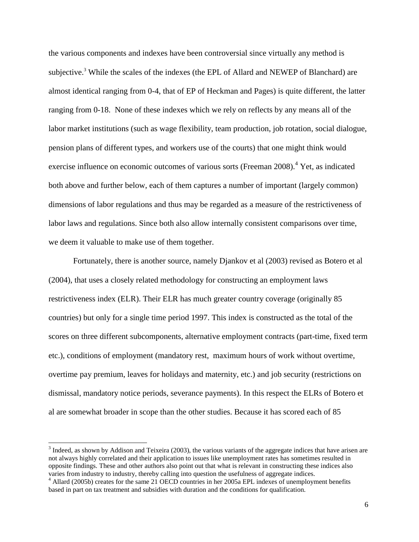the various components and indexes have been controversial since virtually any method is subjective.<sup>3</sup> While the scales of the indexes (the EPL of Allard and NEWEP of Blanchard) are almost identical ranging from 0-4, that of EP of Heckman and Pages) is quite different, the latter ranging from 0-18. None of these indexes which we rely on reflects by any means all of the labor market institutions (such as wage flexibility, team production, job rotation, social dialogue, pension plans of different types, and workers use of the courts) that one might think would exercise influence on economic outcomes of various sorts (Freeman 2008).<sup>4</sup> Yet, as indicated both above and further below, each of them captures a number of important (largely common) dimensions of labor regulations and thus may be regarded as a measure of the restrictiveness of labor laws and regulations. Since both also allow internally consistent comparisons over time, we deem it valuable to make use of them together.

Fortunately, there is another source, namely Djankov et al (2003) revised as Botero et al (2004), that uses a closely related methodology for constructing an employment laws restrictiveness index (ELR). Their ELR has much greater country coverage (originally 85 countries) but only for a single time period 1997. This index is constructed as the total of the scores on three different subcomponents, alternative employment contracts (part-time, fixed term etc.), conditions of employment (mandatory rest, maximum hours of work without overtime, overtime pay premium, leaves for holidays and maternity, etc.) and job security (restrictions on dismissal, mandatory notice periods, severance payments). In this respect the ELRs of Botero et al are somewhat broader in scope than the other studies. Because it has scored each of 85

 $3$  Indeed, as shown by Addison and Teixeira (2003), the various variants of the aggregate indices that have arisen are not always highly correlated and their application to issues like unemployment rates has sometimes resulted in opposite findings. These and other authors also point out that what is relevant in constructing these indices also varies from industry to industry, thereby calling into question the usefulness of aggregate indices.

<sup>&</sup>lt;sup>4</sup> Allard (2005b) creates for the same 21 OECD countries in her 2005a EPL indexes of unemployment benefits based in part on tax treatment and subsidies with duration and the conditions for qualification.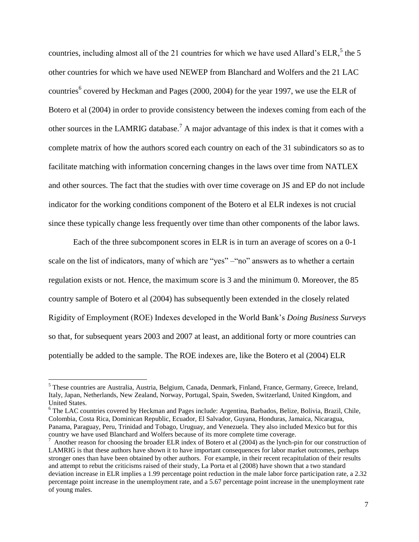countries, including almost all of the 21 countries for which we have used Allard's  $ELR$ ,  $5$  the 5 other countries for which we have used NEWEP from Blanchard and Wolfers and the 21 LAC countries<sup>6</sup> covered by Heckman and Pages (2000, 2004) for the year 1997, we use the ELR of Botero et al (2004) in order to provide consistency between the indexes coming from each of the other sources in the LAMRIG database.<sup>7</sup> A major advantage of this index is that it comes with a complete matrix of how the authors scored each country on each of the 31 subindicators so as to facilitate matching with information concerning changes in the laws over time from NATLEX and other sources. The fact that the studies with over time coverage on JS and EP do not include indicator for the working conditions component of the Botero et al ELR indexes is not crucial since these typically change less frequently over time than other components of the labor laws.

Each of the three subcomponent scores in ELR is in turn an average of scores on a 0-1 scale on the list of indicators, many of which are "yes" – "no" answers as to whether a certain regulation exists or not. Hence, the maximum score is 3 and the minimum 0. Moreover, the 85 country sample of Botero et al (2004) has subsequently been extended in the closely related Rigidity of Employment (ROE) Indexes developed in the World Bank's *Doing Business Surveys* so that, for subsequent years 2003 and 2007 at least, an additional forty or more countries can potentially be added to the sample. The ROE indexes are, like the Botero et al (2004) ELR

l

<sup>6</sup> The LAC countries covered by Heckman and Pages include: Argentina, Barbados, Belize, Bolivia, Brazil, Chile, Colombia, Costa Rica, Dominican Republic, Ecuador, El Salvador, Guyana, Honduras, Jamaica, Nicaragua, Panama, Paraguay, Peru, Trinidad and Tobago, Uruguay, and Venezuela. They also included Mexico but for this country we have used Blanchard and Wolfers because of its more complete time coverage.

<sup>5</sup> These countries are Australia, Austria, Belgium, Canada, Denmark, Finland, France, Germany, Greece, Ireland, Italy, Japan, Netherlands, New Zealand, Norway, Portugal, Spain, Sweden, Switzerland, United Kingdom, and United States.

 $^7$  Another reason for choosing the broader ELR index of Botero et al (2004) as the lynch-pin for our construction of LAMRIG is that these authors have shown it to have important consequences for labor market outcomes, perhaps stronger ones than have been obtained by other authors. For example, in their recent recapitulation of their results and attempt to rebut the criticisms raised of their study, La Porta et al (2008) have shown that a two standard deviation increase in ELR implies a 1.99 percentage point reduction in the male labor force participation rate, a 2.32 percentage point increase in the unemployment rate, and a 5.67 percentage point increase in the unemployment rate of young males.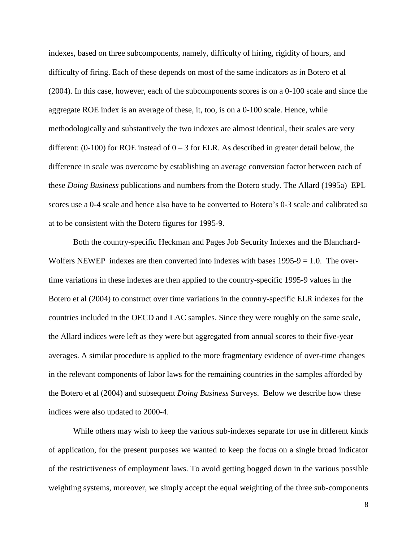indexes, based on three subcomponents, namely, difficulty of hiring, rigidity of hours, and difficulty of firing. Each of these depends on most of the same indicators as in Botero et al (2004). In this case, however, each of the subcomponents scores is on a 0-100 scale and since the aggregate ROE index is an average of these, it, too, is on a 0-100 scale. Hence, while methodologically and substantively the two indexes are almost identical, their scales are very different:  $(0-100)$  for ROE instead of  $0-3$  for ELR. As described in greater detail below, the difference in scale was overcome by establishing an average conversion factor between each of these *Doing Business* publications and numbers from the Botero study. The Allard (1995a) EPL scores use a 0-4 scale and hence also have to be converted to Botero's 0-3 scale and calibrated so at to be consistent with the Botero figures for 1995-9.

Both the country-specific Heckman and Pages Job Security Indexes and the Blanchard-Wolfers NEWEP indexes are then converted into indexes with bases  $1995-9 = 1.0$ . The overtime variations in these indexes are then applied to the country-specific 1995-9 values in the Botero et al (2004) to construct over time variations in the country-specific ELR indexes for the countries included in the OECD and LAC samples. Since they were roughly on the same scale, the Allard indices were left as they were but aggregated from annual scores to their five-year averages. A similar procedure is applied to the more fragmentary evidence of over-time changes in the relevant components of labor laws for the remaining countries in the samples afforded by the Botero et al (2004) and subsequent *Doing Business* Surveys. Below we describe how these indices were also updated to 2000-4.

While others may wish to keep the various sub-indexes separate for use in different kinds of application, for the present purposes we wanted to keep the focus on a single broad indicator of the restrictiveness of employment laws. To avoid getting bogged down in the various possible weighting systems, moreover, we simply accept the equal weighting of the three sub-components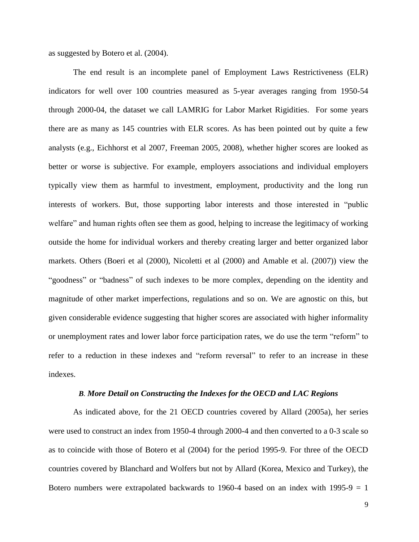as suggested by Botero et al. (2004).

The end result is an incomplete panel of Employment Laws Restrictiveness (ELR) indicators for well over 100 countries measured as 5-year averages ranging from 1950-54 through 2000-04, the dataset we call LAMRIG for Labor Market Rigidities. For some years there are as many as 145 countries with ELR scores. As has been pointed out by quite a few analysts (e.g., Eichhorst et al 2007, Freeman 2005, 2008), whether higher scores are looked as better or worse is subjective. For example, employers associations and individual employers typically view them as harmful to investment, employment, productivity and the long run interests of workers. But, those supporting labor interests and those interested in "public welfare" and human rights often see them as good, helping to increase the legitimacy of working outside the home for individual workers and thereby creating larger and better organized labor markets. Others (Boeri et al (2000), Nicoletti et al (2000) and Amable et al. (2007)) view the "goodness" or "badness" of such indexes to be more complex, depending on the identity and magnitude of other market imperfections, regulations and so on. We are agnostic on this, but given considerable evidence suggesting that higher scores are associated with higher informality or unemployment rates and lower labor force participation rates, we do use the term "reform" to refer to a reduction in these indexes and "reform reversal" to refer to an increase in these indexes.

### *B. More Detail on Constructing the Indexes for the OECD and LAC Regions*

As indicated above, for the 21 OECD countries covered by Allard (2005a), her series were used to construct an index from 1950-4 through 2000-4 and then converted to a 0-3 scale so as to coincide with those of Botero et al (2004) for the period 1995-9. For three of the OECD countries covered by Blanchard and Wolfers but not by Allard (Korea, Mexico and Turkey), the Botero numbers were extrapolated backwards to 1960-4 based on an index with 1995-9  $= 1$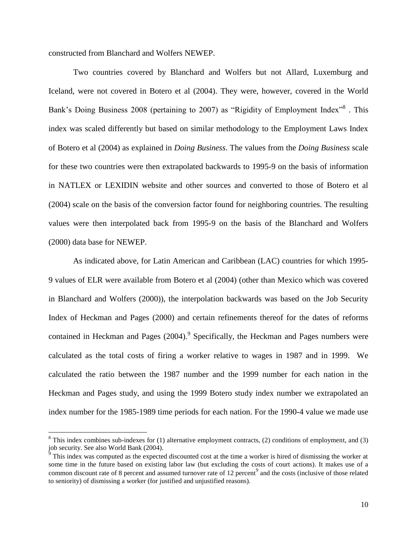constructed from Blanchard and Wolfers NEWEP.

l

Two countries covered by Blanchard and Wolfers but not Allard, Luxemburg and Iceland, were not covered in Botero et al (2004). They were, however, covered in the World Bank's Doing Business 2008 (pertaining to 2007) as "Rigidity of Employment Index"<sup>8</sup>. This index was scaled differently but based on similar methodology to the Employment Laws Index of Botero et al (2004) as explained in *Doing Business*. The values from the *Doing Business* scale for these two countries were then extrapolated backwards to 1995-9 on the basis of information in NATLEX or LEXIDIN website and other sources and converted to those of Botero et al (2004) scale on the basis of the conversion factor found for neighboring countries. The resulting values were then interpolated back from 1995-9 on the basis of the Blanchard and Wolfers (2000) data base for NEWEP.

As indicated above, for Latin American and Caribbean (LAC) countries for which 1995- 9 values of ELR were available from Botero et al (2004) (other than Mexico which was covered in Blanchard and Wolfers (2000)), the interpolation backwards was based on the Job Security Index of Heckman and Pages (2000) and certain refinements thereof for the dates of reforms contained in Heckman and Pages  $(2004)$ .<sup>9</sup> Specifically, the Heckman and Pages numbers were calculated as the total costs of firing a worker relative to wages in 1987 and in 1999. We calculated the ratio between the 1987 number and the 1999 number for each nation in the Heckman and Pages study, and using the 1999 Botero study index number we extrapolated an index number for the 1985-1989 time periods for each nation. For the 1990-4 value we made use

 $8$  This index combines sub-indexes for (1) alternative employment contracts, (2) conditions of employment, and (3) job security. See also World Bank (2004).

 $\frac{1}{9}$  This index was computed as the expected discounted cost at the time a worker is hired of dismissing the worker at some time in the future based on existing labor law (but excluding the costs of court actions). It makes use of a common discount rate of 8 percent and assumed turnover rate of 12 percent<sup>9</sup> and the costs (inclusive of those related to seniority) of dismissing a worker (for justified and unjustified reasons).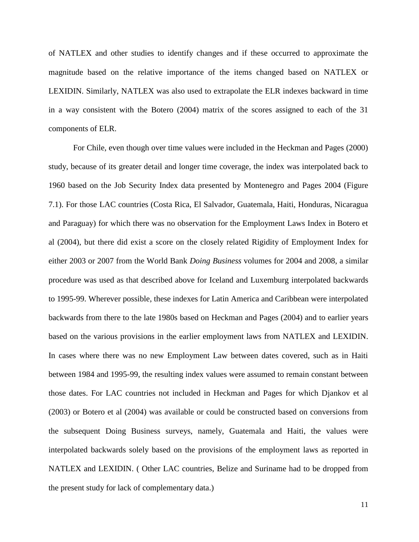of NATLEX and other studies to identify changes and if these occurred to approximate the magnitude based on the relative importance of the items changed based on NATLEX or LEXIDIN. Similarly, NATLEX was also used to extrapolate the ELR indexes backward in time in a way consistent with the Botero (2004) matrix of the scores assigned to each of the 31 components of ELR.

For Chile, even though over time values were included in the Heckman and Pages (2000) study, because of its greater detail and longer time coverage, the index was interpolated back to 1960 based on the Job Security Index data presented by Montenegro and Pages 2004 (Figure 7.1). For those LAC countries (Costa Rica, El Salvador, Guatemala, Haiti, Honduras, Nicaragua and Paraguay) for which there was no observation for the Employment Laws Index in Botero et al (2004), but there did exist a score on the closely related Rigidity of Employment Index for either 2003 or 2007 from the World Bank *Doing Business* volumes for 2004 and 2008, a similar procedure was used as that described above for Iceland and Luxemburg interpolated backwards to 1995-99. Wherever possible, these indexes for Latin America and Caribbean were interpolated backwards from there to the late 1980s based on Heckman and Pages (2004) and to earlier years based on the various provisions in the earlier employment laws from NATLEX and LEXIDIN. In cases where there was no new Employment Law between dates covered, such as in Haiti between 1984 and 1995-99, the resulting index values were assumed to remain constant between those dates. For LAC countries not included in Heckman and Pages for which Djankov et al (2003) or Botero et al (2004) was available or could be constructed based on conversions from the subsequent Doing Business surveys, namely, Guatemala and Haiti, the values were interpolated backwards solely based on the provisions of the employment laws as reported in NATLEX and LEXIDIN. ( Other LAC countries, Belize and Suriname had to be dropped from the present study for lack of complementary data.)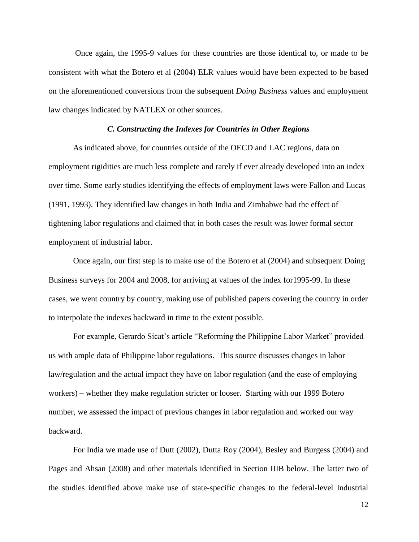Once again, the 1995-9 values for these countries are those identical to, or made to be consistent with what the Botero et al (2004) ELR values would have been expected to be based on the aforementioned conversions from the subsequent *Doing Business* values and employment law changes indicated by NATLEX or other sources.

#### *C. Constructing the Indexes for Countries in Other Regions*

As indicated above, for countries outside of the OECD and LAC regions, data on employment rigidities are much less complete and rarely if ever already developed into an index over time. Some early studies identifying the effects of employment laws were Fallon and Lucas (1991, 1993). They identified law changes in both India and Zimbabwe had the effect of tightening labor regulations and claimed that in both cases the result was lower formal sector employment of industrial labor.

Once again, our first step is to make use of the Botero et al (2004) and subsequent Doing Business surveys for 2004 and 2008, for arriving at values of the index for1995-99. In these cases, we went country by country, making use of published papers covering the country in order to interpolate the indexes backward in time to the extent possible.

For example, Gerardo Sicat's article "Reforming the Philippine Labor Market" provided us with ample data of Philippine labor regulations. This source discusses changes in labor law/regulation and the actual impact they have on labor regulation (and the ease of employing workers) – whether they make regulation stricter or looser. Starting with our 1999 Botero number, we assessed the impact of previous changes in labor regulation and worked our way backward.

For India we made use of Dutt (2002), Dutta Roy (2004), Besley and Burgess (2004) and Pages and Ahsan (2008) and other materials identified in Section IIIB below. The latter two of the studies identified above make use of state-specific changes to the federal-level Industrial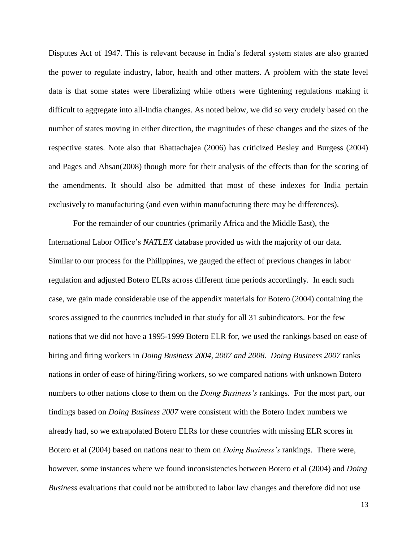Disputes Act of 1947. This is relevant because in India's federal system states are also granted the power to regulate industry, labor, health and other matters. A problem with the state level data is that some states were liberalizing while others were tightening regulations making it difficult to aggregate into all-India changes. As noted below, we did so very crudely based on the number of states moving in either direction, the magnitudes of these changes and the sizes of the respective states. Note also that Bhattachajea (2006) has criticized Besley and Burgess (2004) and Pages and Ahsan(2008) though more for their analysis of the effects than for the scoring of the amendments. It should also be admitted that most of these indexes for India pertain exclusively to manufacturing (and even within manufacturing there may be differences).

For the remainder of our countries (primarily Africa and the Middle East), the International Labor Office's *NATLEX* database provided us with the majority of our data. Similar to our process for the Philippines, we gauged the effect of previous changes in labor regulation and adjusted Botero ELRs across different time periods accordingly. In each such case, we gain made considerable use of the appendix materials for Botero (2004) containing the scores assigned to the countries included in that study for all 31 subindicators. For the few nations that we did not have a 1995-1999 Botero ELR for, we used the rankings based on ease of hiring and firing workers in *Doing Business 2004, 2007 and 2008. Doing Business 2007* ranks nations in order of ease of hiring/firing workers, so we compared nations with unknown Botero numbers to other nations close to them on the *Doing Business's* rankings. For the most part, our findings based on *Doing Business 2007* were consistent with the Botero Index numbers we already had, so we extrapolated Botero ELRs for these countries with missing ELR scores in Botero et al (2004) based on nations near to them on *Doing Business's* rankings. There were, however, some instances where we found inconsistencies between Botero et al (2004) and *Doing Business* evaluations that could not be attributed to labor law changes and therefore did not use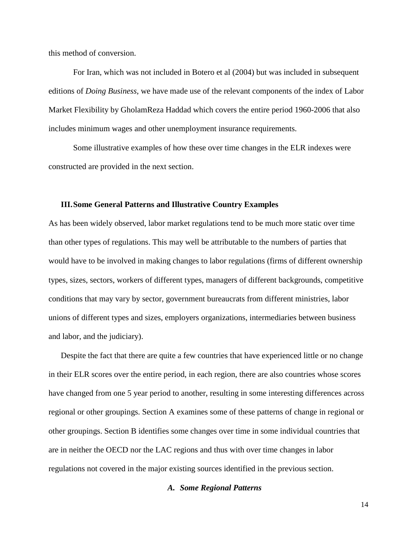this method of conversion.

For Iran, which was not included in Botero et al (2004) but was included in subsequent editions of *Doing Business*, we have made use of the relevant components of the index of Labor Market Flexibility by GholamReza Haddad which covers the entire period 1960-2006 that also includes minimum wages and other unemployment insurance requirements.

Some illustrative examples of how these over time changes in the ELR indexes were constructed are provided in the next section.

#### **III.Some General Patterns and Illustrative Country Examples**

As has been widely observed, labor market regulations tend to be much more static over time than other types of regulations. This may well be attributable to the numbers of parties that would have to be involved in making changes to labor regulations (firms of different ownership types, sizes, sectors, workers of different types, managers of different backgrounds, competitive conditions that may vary by sector, government bureaucrats from different ministries, labor unions of different types and sizes, employers organizations, intermediaries between business and labor, and the judiciary).

Despite the fact that there are quite a few countries that have experienced little or no change in their ELR scores over the entire period, in each region, there are also countries whose scores have changed from one 5 year period to another, resulting in some interesting differences across regional or other groupings. Section A examines some of these patterns of change in regional or other groupings. Section B identifies some changes over time in some individual countries that are in neither the OECD nor the LAC regions and thus with over time changes in labor regulations not covered in the major existing sources identified in the previous section.

### *A. Some Regional Patterns*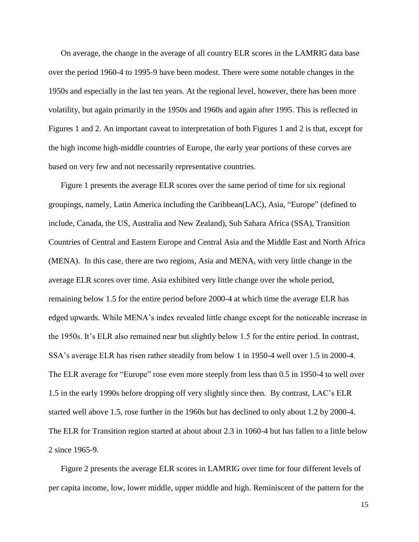On average, the change in the average of all country ELR scores in the LAMRIG data base over the period 1960-4 to 1995-9 have been modest. There were some notable changes in the 1950s and especially in the last ten years. At the regional level, however, there has been more volatility, but again primarily in the 1950s and 1960s and again after 1995. This is reflected in Figures 1 and 2. An important caveat to interpretation of both Figures 1 and 2 is that, except for the high income high-middle countries of Europe, the early year portions of these curves are based on very few and not necessarily representative countries.

Figure 1 presents the average ELR scores over the same period of time for six regional groupings, namely, Latin America including the Caribbean(LAC), Asia, "Europe" (defined to include, Canada, the US, Australia and New Zealand), Sub Sahara Africa (SSA), Transition Countries of Central and Eastern Europe and Central Asia and the Middle East and North Africa (MENA). In this case, there are two regions, Asia and MENA, with very little change in the average ELR scores over time. Asia exhibited very little change over the whole period, remaining below 1.5 for the entire period before 2000-4 at which time the average ELR has edged upwards. While MENA's index revealed little change except for the noticeable increase in the 1950s. It's ELR also remained near but slightly below 1.5 for the entire period. In contrast, SSA's average ELR has risen rather steadily from below 1 in 1950-4 well over 1.5 in 2000-4. The ELR average for "Europe" rose even more steeply from less than 0.5 in 1950-4 to well over 1.5 in the early 1990s before dropping off very slightly since then. By contrast, LAC's ELR started well above 1.5, rose further in the 1960s but has declined to only about 1.2 by 2000-4. The ELR for Transition region started at about about 2.3 in 1060-4 but has fallen to a little below 2 since 1965-9.

Figure 2 presents the average ELR scores in LAMRIG over time for four different levels of per capita income, low, lower middle, upper middle and high. Reminiscent of the pattern for the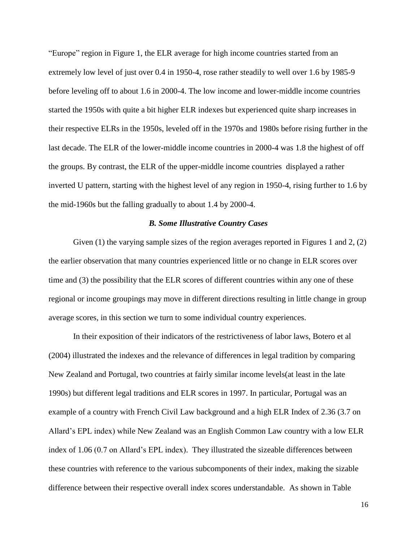"Europe" region in Figure 1, the ELR average for high income countries started from an extremely low level of just over 0.4 in 1950-4, rose rather steadily to well over 1.6 by 1985-9 before leveling off to about 1.6 in 2000-4. The low income and lower-middle income countries started the 1950s with quite a bit higher ELR indexes but experienced quite sharp increases in their respective ELRs in the 1950s, leveled off in the 1970s and 1980s before rising further in the last decade. The ELR of the lower-middle income countries in 2000-4 was 1.8 the highest of off the groups. By contrast, the ELR of the upper-middle income countries displayed a rather inverted U pattern, starting with the highest level of any region in 1950-4, rising further to 1.6 by the mid-1960s but the falling gradually to about 1.4 by 2000-4.

### *B. Some Illustrative Country Cases*

Given (1) the varying sample sizes of the region averages reported in Figures 1 and 2, (2) the earlier observation that many countries experienced little or no change in ELR scores over time and (3) the possibility that the ELR scores of different countries within any one of these regional or income groupings may move in different directions resulting in little change in group average scores, in this section we turn to some individual country experiences.

In their exposition of their indicators of the restrictiveness of labor laws, Botero et al (2004) illustrated the indexes and the relevance of differences in legal tradition by comparing New Zealand and Portugal, two countries at fairly similar income levels(at least in the late 1990s) but different legal traditions and ELR scores in 1997. In particular, Portugal was an example of a country with French Civil Law background and a high ELR Index of 2.36 (3.7 on Allard's EPL index) while New Zealand was an English Common Law country with a low ELR index of 1.06 (0.7 on Allard's EPL index). They illustrated the sizeable differences between these countries with reference to the various subcomponents of their index, making the sizable difference between their respective overall index scores understandable. As shown in Table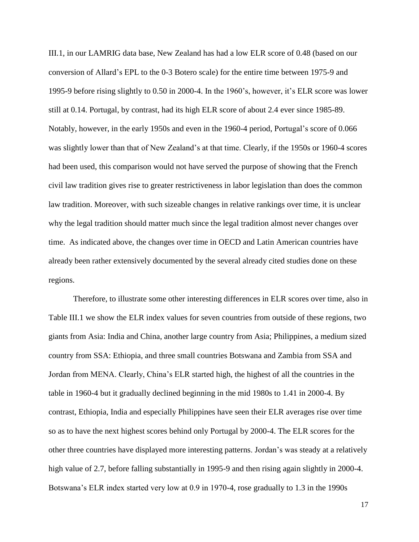III.1, in our LAMRIG data base, New Zealand has had a low ELR score of 0.48 (based on our conversion of Allard's EPL to the 0-3 Botero scale) for the entire time between 1975-9 and 1995-9 before rising slightly to 0.50 in 2000-4. In the 1960's, however, it's ELR score was lower still at 0.14. Portugal, by contrast, had its high ELR score of about 2.4 ever since 1985-89. Notably, however, in the early 1950s and even in the 1960-4 period, Portugal's score of 0.066 was slightly lower than that of New Zealand's at that time. Clearly, if the 1950s or 1960-4 scores had been used, this comparison would not have served the purpose of showing that the French civil law tradition gives rise to greater restrictiveness in labor legislation than does the common law tradition. Moreover, with such sizeable changes in relative rankings over time, it is unclear why the legal tradition should matter much since the legal tradition almost never changes over time. As indicated above, the changes over time in OECD and Latin American countries have already been rather extensively documented by the several already cited studies done on these regions.

Therefore, to illustrate some other interesting differences in ELR scores over time, also in Table III.1 we show the ELR index values for seven countries from outside of these regions, two giants from Asia: India and China, another large country from Asia; Philippines, a medium sized country from SSA: Ethiopia, and three small countries Botswana and Zambia from SSA and Jordan from MENA. Clearly, China's ELR started high, the highest of all the countries in the table in 1960-4 but it gradually declined beginning in the mid 1980s to 1.41 in 2000-4. By contrast, Ethiopia, India and especially Philippines have seen their ELR averages rise over time so as to have the next highest scores behind only Portugal by 2000-4. The ELR scores for the other three countries have displayed more interesting patterns. Jordan's was steady at a relatively high value of 2.7, before falling substantially in 1995-9 and then rising again slightly in 2000-4. Botswana's ELR index started very low at 0.9 in 1970-4, rose gradually to 1.3 in the 1990s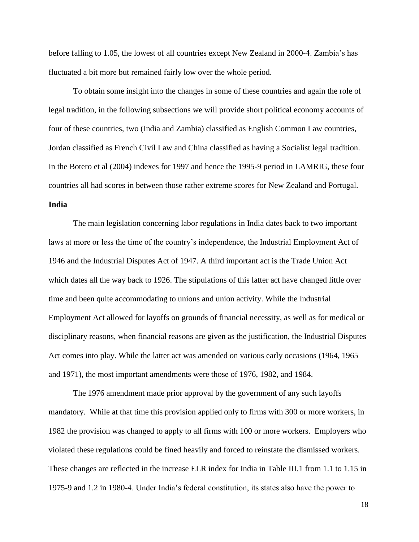before falling to 1.05, the lowest of all countries except New Zealand in 2000-4. Zambia's has fluctuated a bit more but remained fairly low over the whole period.

To obtain some insight into the changes in some of these countries and again the role of legal tradition, in the following subsections we will provide short political economy accounts of four of these countries, two (India and Zambia) classified as English Common Law countries, Jordan classified as French Civil Law and China classified as having a Socialist legal tradition. In the Botero et al (2004) indexes for 1997 and hence the 1995-9 period in LAMRIG, these four countries all had scores in between those rather extreme scores for New Zealand and Portugal. **India**

The main legislation concerning labor regulations in India dates back to two important laws at more or less the time of the country's independence, the Industrial Employment Act of 1946 and the Industrial Disputes Act of 1947. A third important act is the Trade Union Act which dates all the way back to 1926. The stipulations of this latter act have changed little over time and been quite accommodating to unions and union activity. While the Industrial Employment Act allowed for layoffs on grounds of financial necessity, as well as for medical or disciplinary reasons, when financial reasons are given as the justification, the Industrial Disputes Act comes into play. While the latter act was amended on various early occasions (1964, 1965 and 1971), the most important amendments were those of 1976, 1982, and 1984.

The 1976 amendment made prior approval by the government of any such layoffs mandatory. While at that time this provision applied only to firms with 300 or more workers, in 1982 the provision was changed to apply to all firms with 100 or more workers. Employers who violated these regulations could be fined heavily and forced to reinstate the dismissed workers. These changes are reflected in the increase ELR index for India in Table III.1 from 1.1 to 1.15 in 1975-9 and 1.2 in 1980-4. Under India's federal constitution, its states also have the power to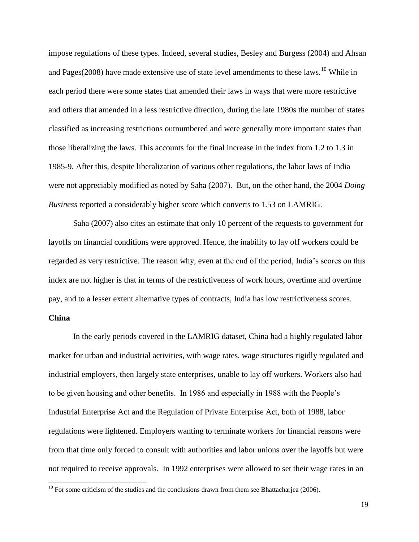impose regulations of these types. Indeed, several studies, Besley and Burgess (2004) and Ahsan and Pages( $2008$ ) have made extensive use of state level amendments to these laws.<sup>10</sup> While in each period there were some states that amended their laws in ways that were more restrictive and others that amended in a less restrictive direction, during the late 1980s the number of states classified as increasing restrictions outnumbered and were generally more important states than those liberalizing the laws. This accounts for the final increase in the index from 1.2 to 1.3 in 1985-9. After this, despite liberalization of various other regulations, the labor laws of India were not appreciably modified as noted by Saha (2007). But, on the other hand, the 2004 *Doing Business* reported a considerably higher score which converts to 1.53 on LAMRIG.

Saha (2007) also cites an estimate that only 10 percent of the requests to government for layoffs on financial conditions were approved. Hence, the inability to lay off workers could be regarded as very restrictive. The reason why, even at the end of the period, India's scores on this index are not higher is that in terms of the restrictiveness of work hours, overtime and overtime pay, and to a lesser extent alternative types of contracts, India has low restrictiveness scores.

### **China**

 $\overline{a}$ 

In the early periods covered in the LAMRIG dataset, China had a highly regulated labor market for urban and industrial activities, with wage rates, wage structures rigidly regulated and industrial employers, then largely state enterprises, unable to lay off workers. Workers also had to be given housing and other benefits. In 1986 and especially in 1988 with the People's Industrial Enterprise Act and the Regulation of Private Enterprise Act, both of 1988, labor regulations were lightened. Employers wanting to terminate workers for financial reasons were from that time only forced to consult with authorities and labor unions over the layoffs but were not required to receive approvals. In 1992 enterprises were allowed to set their wage rates in an

 $10$  For some criticism of the studies and the conclusions drawn from them see Bhattacharjea (2006).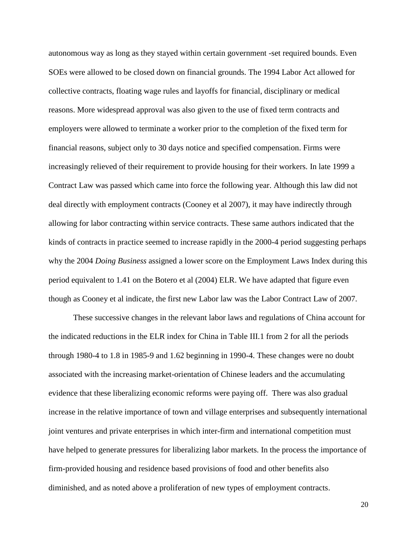autonomous way as long as they stayed within certain government -set required bounds. Even SOEs were allowed to be closed down on financial grounds. The 1994 Labor Act allowed for collective contracts, floating wage rules and layoffs for financial, disciplinary or medical reasons. More widespread approval was also given to the use of fixed term contracts and employers were allowed to terminate a worker prior to the completion of the fixed term for financial reasons, subject only to 30 days notice and specified compensation. Firms were increasingly relieved of their requirement to provide housing for their workers. In late 1999 a Contract Law was passed which came into force the following year. Although this law did not deal directly with employment contracts (Cooney et al 2007), it may have indirectly through allowing for labor contracting within service contracts. These same authors indicated that the kinds of contracts in practice seemed to increase rapidly in the 2000-4 period suggesting perhaps why the 2004 *Doing Business* assigned a lower score on the Employment Laws Index during this period equivalent to 1.41 on the Botero et al (2004) ELR. We have adapted that figure even though as Cooney et al indicate, the first new Labor law was the Labor Contract Law of 2007.

These successive changes in the relevant labor laws and regulations of China account for the indicated reductions in the ELR index for China in Table III.1 from 2 for all the periods through 1980-4 to 1.8 in 1985-9 and 1.62 beginning in 1990-4. These changes were no doubt associated with the increasing market-orientation of Chinese leaders and the accumulating evidence that these liberalizing economic reforms were paying off. There was also gradual increase in the relative importance of town and village enterprises and subsequently international joint ventures and private enterprises in which inter-firm and international competition must have helped to generate pressures for liberalizing labor markets. In the process the importance of firm-provided housing and residence based provisions of food and other benefits also diminished, and as noted above a proliferation of new types of employment contracts.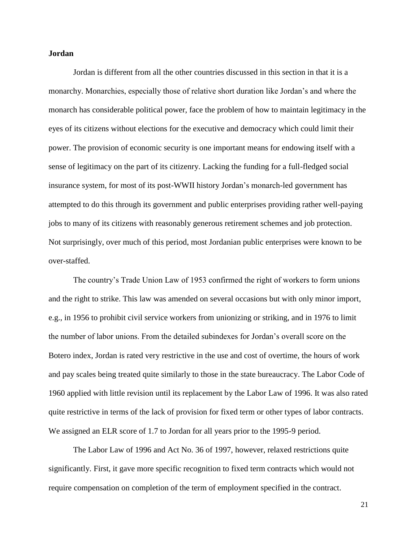## **Jordan**

Jordan is different from all the other countries discussed in this section in that it is a monarchy. Monarchies, especially those of relative short duration like Jordan's and where the monarch has considerable political power, face the problem of how to maintain legitimacy in the eyes of its citizens without elections for the executive and democracy which could limit their power. The provision of economic security is one important means for endowing itself with a sense of legitimacy on the part of its citizenry. Lacking the funding for a full-fledged social insurance system, for most of its post-WWII history Jordan's monarch-led government has attempted to do this through its government and public enterprises providing rather well-paying jobs to many of its citizens with reasonably generous retirement schemes and job protection. Not surprisingly, over much of this period, most Jordanian public enterprises were known to be over-staffed.

The country's Trade Union Law of 1953 confirmed the right of workers to form unions and the right to strike. This law was amended on several occasions but with only minor import, e.g., in 1956 to prohibit civil service workers from unionizing or striking, and in 1976 to limit the number of labor unions. From the detailed subindexes for Jordan's overall score on the Botero index, Jordan is rated very restrictive in the use and cost of overtime, the hours of work and pay scales being treated quite similarly to those in the state bureaucracy. The Labor Code of 1960 applied with little revision until its replacement by the Labor Law of 1996. It was also rated quite restrictive in terms of the lack of provision for fixed term or other types of labor contracts. We assigned an ELR score of 1.7 to Jordan for all years prior to the 1995-9 period.

The Labor Law of 1996 and Act No. 36 of 1997, however, relaxed restrictions quite significantly. First, it gave more specific recognition to fixed term contracts which would not require compensation on completion of the term of employment specified in the contract.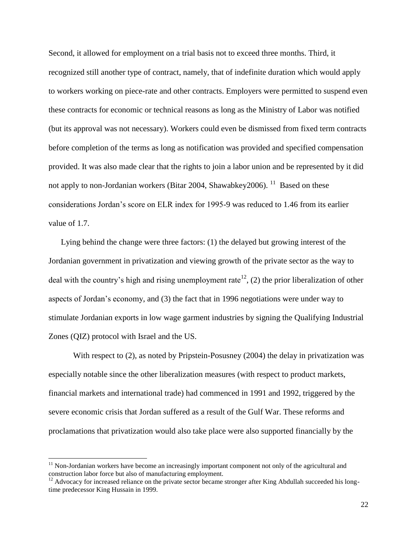Second, it allowed for employment on a trial basis not to exceed three months. Third, it recognized still another type of contract, namely, that of indefinite duration which would apply to workers working on piece-rate and other contracts. Employers were permitted to suspend even these contracts for economic or technical reasons as long as the Ministry of Labor was notified (but its approval was not necessary). Workers could even be dismissed from fixed term contracts before completion of the terms as long as notification was provided and specified compensation provided. It was also made clear that the rights to join a labor union and be represented by it did not apply to non-Jordanian workers (Bitar 2004, Shawabkey 2006). <sup>11</sup> Based on these considerations Jordan's score on ELR index for 1995-9 was reduced to 1.46 from its earlier value of 1.7.

 Lying behind the change were three factors: (1) the delayed but growing interest of the Jordanian government in privatization and viewing growth of the private sector as the way to deal with the country's high and rising unemployment rate<sup>12</sup>, (2) the prior liberalization of other aspects of Jordan's economy, and (3) the fact that in 1996 negotiations were under way to stimulate Jordanian exports in low wage garment industries by signing the Qualifying Industrial Zones (QIZ) protocol with Israel and the US.

With respect to (2), as noted by Pripstein-Posusney (2004) the delay in privatization was especially notable since the other liberalization measures (with respect to product markets, financial markets and international trade) had commenced in 1991 and 1992, triggered by the severe economic crisis that Jordan suffered as a result of the Gulf War. These reforms and proclamations that privatization would also take place were also supported financially by the

 $11$  Non-Jordanian workers have become an increasingly important component not only of the agricultural and construction labor force but also of manufacturing employment.

 $12$  Advocacy for increased reliance on the private sector became stronger after King Abdullah succeeded his longtime predecessor King Hussain in 1999.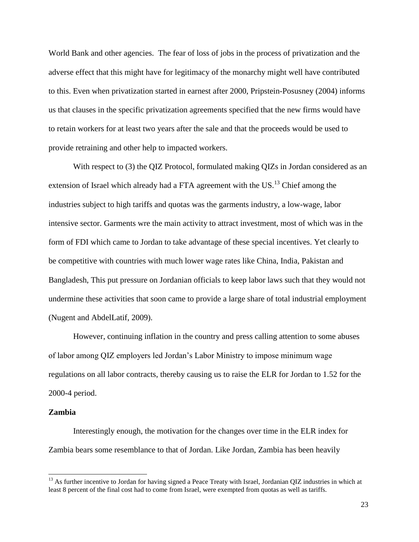World Bank and other agencies. The fear of loss of jobs in the process of privatization and the adverse effect that this might have for legitimacy of the monarchy might well have contributed to this. Even when privatization started in earnest after 2000, Pripstein-Posusney (2004) informs us that clauses in the specific privatization agreements specified that the new firms would have to retain workers for at least two years after the sale and that the proceeds would be used to provide retraining and other help to impacted workers.

With respect to (3) the QIZ Protocol, formulated making QIZs in Jordan considered as an extension of Israel which already had a FTA agreement with the  $US<sup>13</sup>$  Chief among the industries subject to high tariffs and quotas was the garments industry, a low-wage, labor intensive sector. Garments wre the main activity to attract investment, most of which was in the form of FDI which came to Jordan to take advantage of these special incentives. Yet clearly to be competitive with countries with much lower wage rates like China, India, Pakistan and Bangladesh, This put pressure on Jordanian officials to keep labor laws such that they would not undermine these activities that soon came to provide a large share of total industrial employment (Nugent and AbdelLatif, 2009).

However, continuing inflation in the country and press calling attention to some abuses of labor among QIZ employers led Jordan's Labor Ministry to impose minimum wage regulations on all labor contracts, thereby causing us to raise the ELR for Jordan to 1.52 for the 2000-4 period.

#### **Zambia**

l

Interestingly enough, the motivation for the changes over time in the ELR index for Zambia bears some resemblance to that of Jordan. Like Jordan, Zambia has been heavily

<sup>&</sup>lt;sup>13</sup> As further incentive to Jordan for having signed a Peace Treaty with Israel, Jordanian QIZ industries in which at least 8 percent of the final cost had to come from Israel, were exempted from quotas as well as tariffs.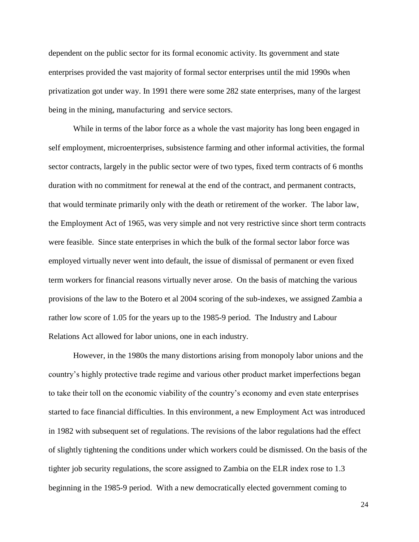dependent on the public sector for its formal economic activity. Its government and state enterprises provided the vast majority of formal sector enterprises until the mid 1990s when privatization got under way. In 1991 there were some 282 state enterprises, many of the largest being in the mining, manufacturing and service sectors.

While in terms of the labor force as a whole the vast majority has long been engaged in self employment, microenterprises, subsistence farming and other informal activities, the formal sector contracts, largely in the public sector were of two types, fixed term contracts of 6 months duration with no commitment for renewal at the end of the contract, and permanent contracts, that would terminate primarily only with the death or retirement of the worker. The labor law, the Employment Act of 1965, was very simple and not very restrictive since short term contracts were feasible. Since state enterprises in which the bulk of the formal sector labor force was employed virtually never went into default, the issue of dismissal of permanent or even fixed term workers for financial reasons virtually never arose. On the basis of matching the various provisions of the law to the Botero et al 2004 scoring of the sub-indexes, we assigned Zambia a rather low score of 1.05 for the years up to the 1985-9 period. The Industry and Labour Relations Act allowed for labor unions, one in each industry.

However, in the 1980s the many distortions arising from monopoly labor unions and the country's highly protective trade regime and various other product market imperfections began to take their toll on the economic viability of the country's economy and even state enterprises started to face financial difficulties. In this environment, a new Employment Act was introduced in 1982 with subsequent set of regulations. The revisions of the labor regulations had the effect of slightly tightening the conditions under which workers could be dismissed. On the basis of the tighter job security regulations, the score assigned to Zambia on the ELR index rose to 1.3 beginning in the 1985-9 period. With a new democratically elected government coming to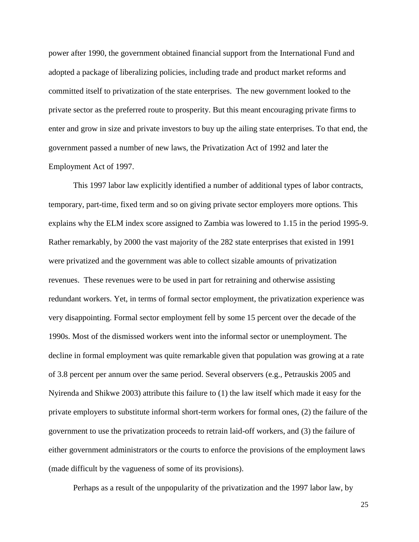power after 1990, the government obtained financial support from the International Fund and adopted a package of liberalizing policies, including trade and product market reforms and committed itself to privatization of the state enterprises. The new government looked to the private sector as the preferred route to prosperity. But this meant encouraging private firms to enter and grow in size and private investors to buy up the ailing state enterprises. To that end, the government passed a number of new laws, the Privatization Act of 1992 and later the Employment Act of 1997.

This 1997 labor law explicitly identified a number of additional types of labor contracts, temporary, part-time, fixed term and so on giving private sector employers more options. This explains why the ELM index score assigned to Zambia was lowered to 1.15 in the period 1995-9. Rather remarkably, by 2000 the vast majority of the 282 state enterprises that existed in 1991 were privatized and the government was able to collect sizable amounts of privatization revenues. These revenues were to be used in part for retraining and otherwise assisting redundant workers. Yet, in terms of formal sector employment, the privatization experience was very disappointing. Formal sector employment fell by some 15 percent over the decade of the 1990s. Most of the dismissed workers went into the informal sector or unemployment. The decline in formal employment was quite remarkable given that population was growing at a rate of 3.8 percent per annum over the same period. Several observers (e.g., Petrauskis 2005 and Nyirenda and Shikwe 2003) attribute this failure to (1) the law itself which made it easy for the private employers to substitute informal short-term workers for formal ones, (2) the failure of the government to use the privatization proceeds to retrain laid-off workers, and (3) the failure of either government administrators or the courts to enforce the provisions of the employment laws (made difficult by the vagueness of some of its provisions).

Perhaps as a result of the unpopularity of the privatization and the 1997 labor law, by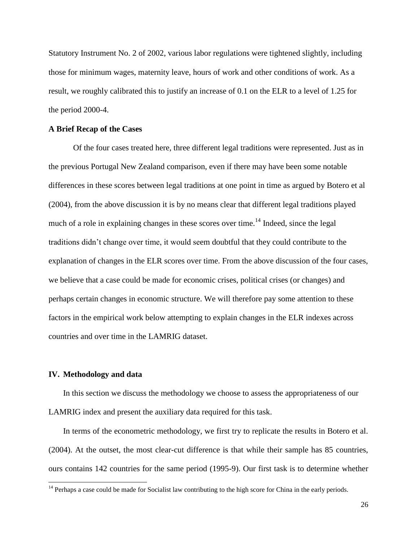Statutory Instrument No. 2 of 2002, various labor regulations were tightened slightly, including those for minimum wages, maternity leave, hours of work and other conditions of work. As a result, we roughly calibrated this to justify an increase of 0.1 on the ELR to a level of 1.25 for the period 2000-4.

#### **A Brief Recap of the Cases**

Of the four cases treated here, three different legal traditions were represented. Just as in the previous Portugal New Zealand comparison, even if there may have been some notable differences in these scores between legal traditions at one point in time as argued by Botero et al (2004), from the above discussion it is by no means clear that different legal traditions played much of a role in explaining changes in these scores over time.<sup>14</sup> Indeed, since the legal traditions didn't change over time, it would seem doubtful that they could contribute to the explanation of changes in the ELR scores over time. From the above discussion of the four cases, we believe that a case could be made for economic crises, political crises (or changes) and perhaps certain changes in economic structure. We will therefore pay some attention to these factors in the empirical work below attempting to explain changes in the ELR indexes across countries and over time in the LAMRIG dataset.

## **IV. Methodology and data**

 $\overline{a}$ 

In this section we discuss the methodology we choose to assess the appropriateness of our LAMRIG index and present the auxiliary data required for this task.

In terms of the econometric methodology, we first try to replicate the results in Botero et al. (2004). At the outset, the most clear-cut difference is that while their sample has 85 countries, ours contains 142 countries for the same period (1995-9). Our first task is to determine whether

 $14$  Perhaps a case could be made for Socialist law contributing to the high score for China in the early periods.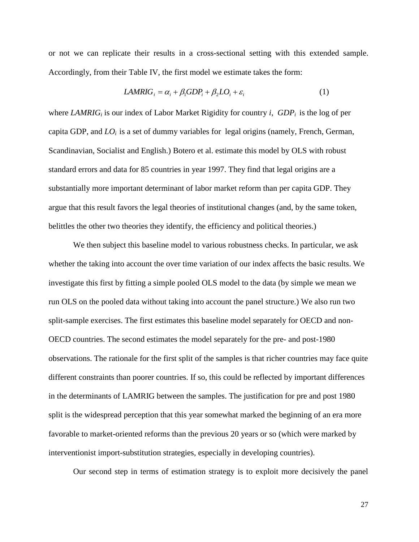or not we can replicate their results in a cross-sectional setting with this extended sample. Accordingly, from their Table IV, the first model we estimate takes the form:

$$
LAMRIG_i = \alpha_i + \beta_1 GDP_i + \beta_2 LO_i + \varepsilon_i \tag{1}
$$

where *LAMRIG<sup>i</sup>* is our index of Labor Market Rigidity for country *i*, *GDP<sup>i</sup>* is the log of per capita GDP, and *LOi* is a set of dummy variables for legal origins (namely, French, German, Scandinavian, Socialist and English.) Botero et al. estimate this model by OLS with robust standard errors and data for 85 countries in year 1997. They find that legal origins are a substantially more important determinant of labor market reform than per capita GDP. They argue that this result favors the legal theories of institutional changes (and, by the same token, belittles the other two theories they identify, the efficiency and political theories.)

We then subject this baseline model to various robustness checks. In particular, we ask whether the taking into account the over time variation of our index affects the basic results. We investigate this first by fitting a simple pooled OLS model to the data (by simple we mean we run OLS on the pooled data without taking into account the panel structure.) We also run two split-sample exercises. The first estimates this baseline model separately for OECD and non-OECD countries. The second estimates the model separately for the pre- and post-1980 observations. The rationale for the first split of the samples is that richer countries may face quite different constraints than poorer countries. If so, this could be reflected by important differences in the determinants of LAMRIG between the samples. The justification for pre and post 1980 split is the widespread perception that this year somewhat marked the beginning of an era more favorable to market-oriented reforms than the previous 20 years or so (which were marked by interventionist import-substitution strategies, especially in developing countries).

Our second step in terms of estimation strategy is to exploit more decisively the panel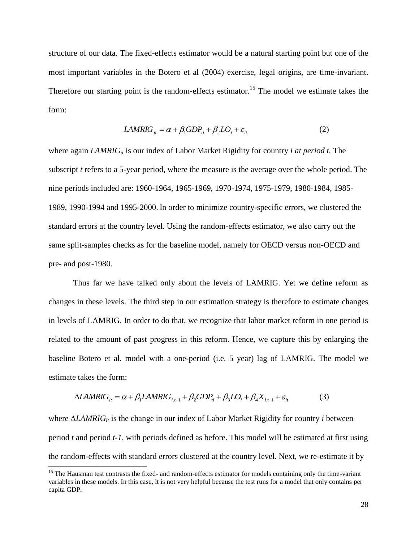structure of our data. The fixed-effects estimator would be a natural starting point but one of the most important variables in the Botero et al (2004) exercise, legal origins, are time-invariant. Therefore our starting point is the random-effects estimator.<sup>15</sup> The model we estimate takes the form:

$$
LAMRIG_{it} = \alpha + \beta_1 GDP_{ti} + \beta_2 LO_i + \varepsilon_{it}
$$
\n(2)

where again *LAMRIG<sub>it</sub>* is our index of Labor Market Rigidity for country *i at period t*. The subscript *t* refers to a 5-year period, where the measure is the average over the whole period. The nine periods included are: 1960-1964, 1965-1969, 1970-1974, 1975-1979, 1980-1984, 1985- 1989, 1990-1994 and 1995-2000. In order to minimize country-specific errors, we clustered the standard errors at the country level. Using the random-effects estimator, we also carry out the same split-samples checks as for the baseline model, namely for OECD versus non-OECD and pre- and post-1980.

Thus far we have talked only about the levels of LAMRIG. Yet we define reform as changes in these levels. The third step in our estimation strategy is therefore to estimate changes in levels of LAMRIG. In order to do that, we recognize that labor market reform in one period is related to the amount of past progress in this reform. Hence, we capture this by enlarging the baseline Botero et al. model with a one-period (i.e. 5 year) lag of LAMRIG. The model we estimate takes the form:

$$
\Delta LAMRIG_{it} = \alpha + \beta_1 LAMRIG_{i,t-1} + \beta_2 GDP_{ti} + \beta_3 LO_i + \beta_4 X_{i,t-1} + \varepsilon_{it}
$$
(3)

where Δ*LAMRIGit* is the change in our index of Labor Market Rigidity for country *i* between period *t* and period *t-1*, with periods defined as before. This model will be estimated at first using the random-effects with standard errors clustered at the country level. Next, we re-estimate it by

<sup>&</sup>lt;sup>15</sup> The Hausman test contrasts the fixed- and random-effects estimator for models containing only the time-variant variables in these models. In this case, it is not very helpful because the test runs for a model that only contains per capita GDP.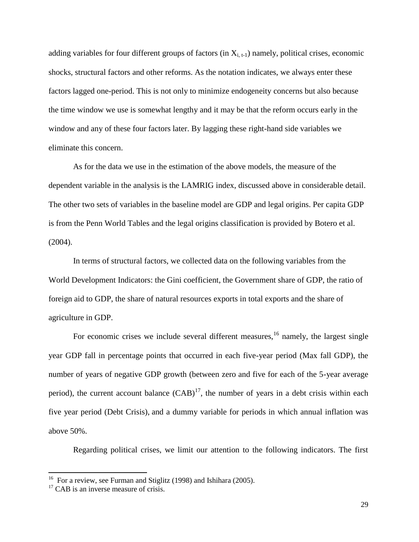adding variables for four different groups of factors (in  $X_{i,t-1}$ ) namely, political crises, economic shocks, structural factors and other reforms. As the notation indicates, we always enter these factors lagged one-period. This is not only to minimize endogeneity concerns but also because the time window we use is somewhat lengthy and it may be that the reform occurs early in the window and any of these four factors later. By lagging these right-hand side variables we eliminate this concern.

As for the data we use in the estimation of the above models, the measure of the dependent variable in the analysis is the LAMRIG index, discussed above in considerable detail. The other two sets of variables in the baseline model are GDP and legal origins. Per capita GDP is from the Penn World Tables and the legal origins classification is provided by Botero et al. (2004).

In terms of structural factors, we collected data on the following variables from the World Development Indicators: the Gini coefficient, the Government share of GDP, the ratio of foreign aid to GDP, the share of natural resources exports in total exports and the share of agriculture in GDP.

For economic crises we include several different measures,  $16$  namely, the largest single year GDP fall in percentage points that occurred in each five-year period (Max fall GDP), the number of years of negative GDP growth (between zero and five for each of the 5-year average period), the current account balance  $(CAB)^{17}$ , the number of years in a debt crisis within each five year period (Debt Crisis), and a dummy variable for periods in which annual inflation was above 50%.

Regarding political crises, we limit our attention to the following indicators. The first

<sup>&</sup>lt;sup>16</sup> For a review, see Furman and Stiglitz (1998) and Ishihara (2005).

<sup>&</sup>lt;sup>17</sup> CAB is an inverse measure of crisis.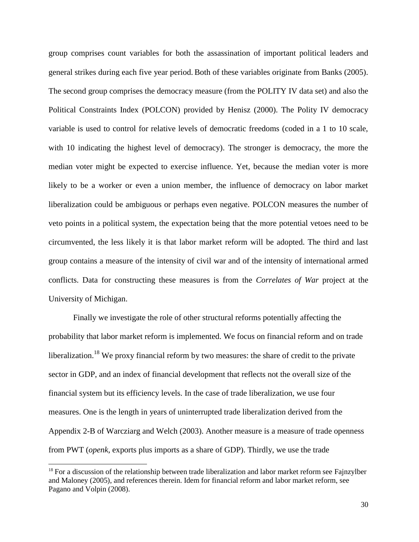group comprises count variables for both the assassination of important political leaders and general strikes during each five year period. Both of these variables originate from Banks (2005). The second group comprises the democracy measure (from the POLITY IV data set) and also the Political Constraints Index (POLCON) provided by Henisz (2000). The Polity IV democracy variable is used to control for relative levels of democratic freedoms (coded in a 1 to 10 scale, with 10 indicating the highest level of democracy). The stronger is democracy, the more the median voter might be expected to exercise influence. Yet, because the median voter is more likely to be a worker or even a union member, the influence of democracy on labor market liberalization could be ambiguous or perhaps even negative. POLCON measures the number of veto points in a political system, the expectation being that the more potential vetoes need to be circumvented, the less likely it is that labor market reform will be adopted. The third and last group contains a measure of the intensity of civil war and of the intensity of international armed conflicts. Data for constructing these measures is from the *Correlates of War* project at the University of Michigan.

Finally we investigate the role of other structural reforms potentially affecting the probability that labor market reform is implemented. We focus on financial reform and on trade liberalization.<sup>18</sup> We proxy financial reform by two measures: the share of credit to the private sector in GDP, and an index of financial development that reflects not the overall size of the financial system but its efficiency levels. In the case of trade liberalization, we use four measures. One is the length in years of uninterrupted trade liberalization derived from the Appendix 2-B of Warcziarg and Welch (2003). Another measure is a measure of trade openness from PWT (*openk*, exports plus imports as a share of GDP). Thirdly, we use the trade

 $18$  For a discussion of the relationship between trade liberalization and labor market reform see Fajnzylber and Maloney (2005), and references therein. Idem for financial reform and labor market reform, see Pagano and Volpin (2008).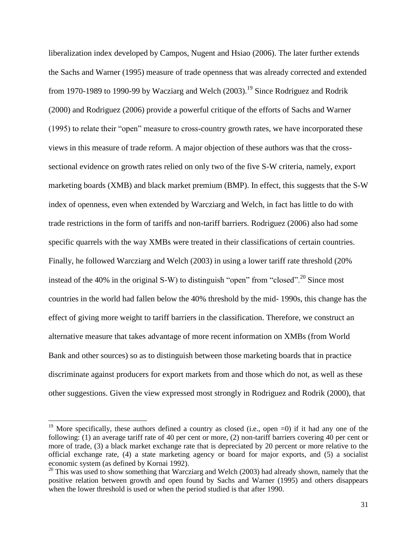liberalization index developed by Campos, Nugent and Hsiao (2006). The later further extends the Sachs and Warner (1995) measure of trade openness that was already corrected and extended from 1970-1989 to 1990-99 by Wacziarg and Welch  $(2003)$ <sup>19</sup> Since Rodriguez and Rodrik (2000) and Rodriguez (2006) provide a powerful critique of the efforts of Sachs and Warner (1995) to relate their "open" measure to cross-country growth rates, we have incorporated these views in this measure of trade reform. A major objection of these authors was that the crosssectional evidence on growth rates relied on only two of the five S-W criteria, namely, export marketing boards (XMB) and black market premium (BMP). In effect, this suggests that the S-W index of openness, even when extended by Warcziarg and Welch, in fact has little to do with trade restrictions in the form of tariffs and non-tariff barriers. Rodriguez (2006) also had some specific quarrels with the way XMBs were treated in their classifications of certain countries. Finally, he followed Warcziarg and Welch (2003) in using a lower tariff rate threshold (20% instead of the 40% in the original S-W) to distinguish "open" from "closed".<sup>20</sup> Since most countries in the world had fallen below the 40% threshold by the mid- 1990s, this change has the effect of giving more weight to tariff barriers in the classification. Therefore, we construct an alternative measure that takes advantage of more recent information on XMBs (from World Bank and other sources) so as to distinguish between those marketing boards that in practice discriminate against producers for export markets from and those which do not, as well as these other suggestions. Given the view expressed most strongly in Rodriguez and Rodrik (2000), that

<sup>&</sup>lt;sup>19</sup> More specifically, these authors defined a country as closed (i.e., open  $=0$ ) if it had any one of the following: (1) an average tariff rate of 40 per cent or more, (2) non-tariff barriers covering 40 per cent or more of trade, (3) a black market exchange rate that is depreciated by 20 percent or more relative to the official exchange rate, (4) a state marketing agency or board for major exports, and (5) a socialist economic system (as defined by Kornai 1992).

 $20$  This was used to show something that Warcziarg and Welch (2003) had already shown, namely that the positive relation between growth and open found by Sachs and Warner (1995) and others disappears when the lower threshold is used or when the period studied is that after 1990.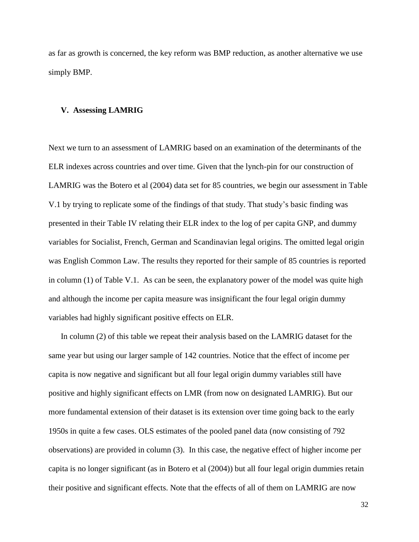as far as growth is concerned, the key reform was BMP reduction, as another alternative we use simply BMP.

#### **V. Assessing LAMRIG**

Next we turn to an assessment of LAMRIG based on an examination of the determinants of the ELR indexes across countries and over time. Given that the lynch-pin for our construction of LAMRIG was the Botero et al (2004) data set for 85 countries, we begin our assessment in Table V.1 by trying to replicate some of the findings of that study. That study's basic finding was presented in their Table IV relating their ELR index to the log of per capita GNP, and dummy variables for Socialist, French, German and Scandinavian legal origins. The omitted legal origin was English Common Law. The results they reported for their sample of 85 countries is reported in column (1) of Table V.1. As can be seen, the explanatory power of the model was quite high and although the income per capita measure was insignificant the four legal origin dummy variables had highly significant positive effects on ELR.

In column (2) of this table we repeat their analysis based on the LAMRIG dataset for the same year but using our larger sample of 142 countries. Notice that the effect of income per capita is now negative and significant but all four legal origin dummy variables still have positive and highly significant effects on LMR (from now on designated LAMRIG). But our more fundamental extension of their dataset is its extension over time going back to the early 1950s in quite a few cases. OLS estimates of the pooled panel data (now consisting of 792 observations) are provided in column (3). In this case, the negative effect of higher income per capita is no longer significant (as in Botero et al (2004)) but all four legal origin dummies retain their positive and significant effects. Note that the effects of all of them on LAMRIG are now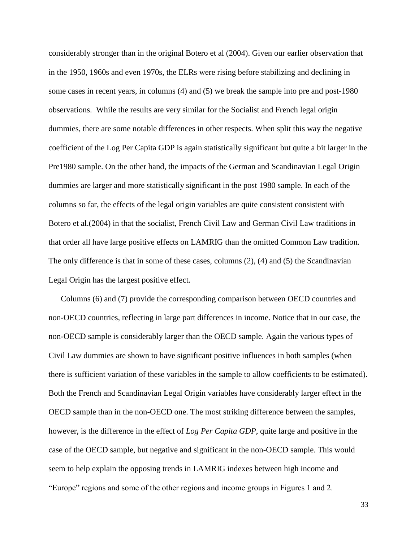considerably stronger than in the original Botero et al (2004). Given our earlier observation that in the 1950, 1960s and even 1970s, the ELRs were rising before stabilizing and declining in some cases in recent years, in columns (4) and (5) we break the sample into pre and post-1980 observations. While the results are very similar for the Socialist and French legal origin dummies, there are some notable differences in other respects. When split this way the negative coefficient of the Log Per Capita GDP is again statistically significant but quite a bit larger in the Pre1980 sample. On the other hand, the impacts of the German and Scandinavian Legal Origin dummies are larger and more statistically significant in the post 1980 sample. In each of the columns so far, the effects of the legal origin variables are quite consistent consistent with Botero et al.(2004) in that the socialist, French Civil Law and German Civil Law traditions in that order all have large positive effects on LAMRIG than the omitted Common Law tradition. The only difference is that in some of these cases, columns (2), (4) and (5) the Scandinavian Legal Origin has the largest positive effect.

Columns (6) and (7) provide the corresponding comparison between OECD countries and non-OECD countries, reflecting in large part differences in income. Notice that in our case, the non-OECD sample is considerably larger than the OECD sample. Again the various types of Civil Law dummies are shown to have significant positive influences in both samples (when there is sufficient variation of these variables in the sample to allow coefficients to be estimated). Both the French and Scandinavian Legal Origin variables have considerably larger effect in the OECD sample than in the non-OECD one. The most striking difference between the samples, however, is the difference in the effect of *Log Per Capita GDP*, quite large and positive in the case of the OECD sample, but negative and significant in the non-OECD sample. This would seem to help explain the opposing trends in LAMRIG indexes between high income and "Europe" regions and some of the other regions and income groups in Figures 1 and 2.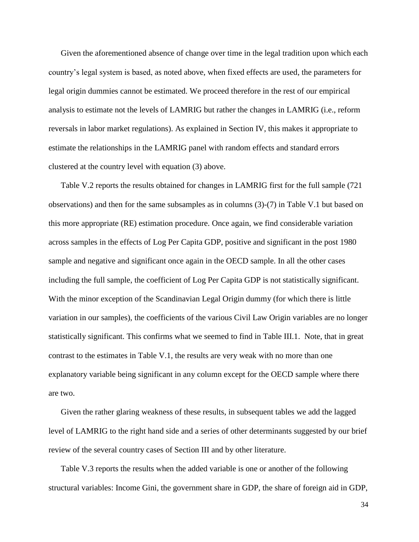Given the aforementioned absence of change over time in the legal tradition upon which each country's legal system is based, as noted above, when fixed effects are used, the parameters for legal origin dummies cannot be estimated. We proceed therefore in the rest of our empirical analysis to estimate not the levels of LAMRIG but rather the changes in LAMRIG (i.e., reform reversals in labor market regulations). As explained in Section IV, this makes it appropriate to estimate the relationships in the LAMRIG panel with random effects and standard errors clustered at the country level with equation (3) above.

Table V.2 reports the results obtained for changes in LAMRIG first for the full sample (721 observations) and then for the same subsamples as in columns (3)-(7) in Table V.1 but based on this more appropriate (RE) estimation procedure. Once again, we find considerable variation across samples in the effects of Log Per Capita GDP, positive and significant in the post 1980 sample and negative and significant once again in the OECD sample. In all the other cases including the full sample, the coefficient of Log Per Capita GDP is not statistically significant. With the minor exception of the Scandinavian Legal Origin dummy (for which there is little variation in our samples), the coefficients of the various Civil Law Origin variables are no longer statistically significant. This confirms what we seemed to find in Table III.1. Note, that in great contrast to the estimates in Table V.1, the results are very weak with no more than one explanatory variable being significant in any column except for the OECD sample where there are two.

Given the rather glaring weakness of these results, in subsequent tables we add the lagged level of LAMRIG to the right hand side and a series of other determinants suggested by our brief review of the several country cases of Section III and by other literature.

Table V.3 reports the results when the added variable is one or another of the following structural variables: Income Gini, the government share in GDP, the share of foreign aid in GDP,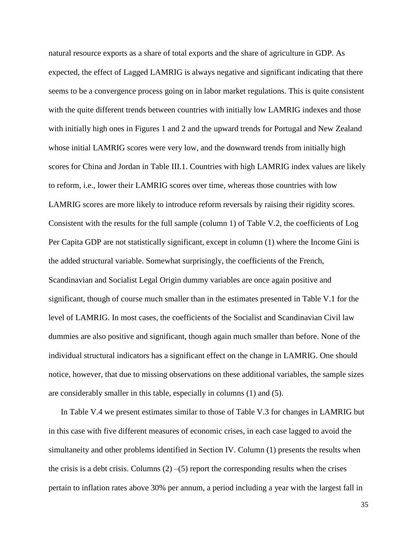natural resource exports as a share of total exports and the share of agriculture in GDP. As expected, the effect of Lagged LAMRIG is always negative and significant indicating that there seems to be a convergence process going on in labor market regulations. This is quite consistent with the quite different trends between countries with initially low LAMRIG indexes and those with initially high ones in Figures 1 and 2 and the upward trends for Portugal and New Zealand whose initial LAMRIG scores were very low, and the downward trends from initially high scores for China and Jordan in Table III.1. Countries with high LAMRIG index values are likely to reform, i.e., lower their LAMRIG scores over time, whereas those countries with low LAMRIG scores are more likely to introduce reform reversals by raising their rigidity scores. Consistent with the results for the full sample (column 1) of Table V.2, the coefficients of Log Per Capita GDP are not statistically significant, except in column (1) where the Income Gini is the added structural variable. Somewhat surprisingly, the coefficients of the French, Scandinavian and Socialist Legal Origin dummy variables are once again positive and significant, though of course much smaller than in the estimates presented in Table V.1 for the level of LAMRIG. In most cases, the coefficients of the Socialist and Scandinavian Civil law dummies are also positive and significant, though again much smaller than before. None of the individual structural indicators has a significant effect on the change in LAMRIG. One should notice, however, that due to missing observations on these additional variables, the sample sizes are considerably smaller in this table, especially in columns (1) and (5).

In Table V.4 we present estimates similar to those of Table V.3 for changes in LAMRIG but in this case with five different measures of economic crises, in each case lagged to avoid the simultaneity and other problems identified in Section IV. Column (1) presents the results when the crisis is a debt crisis. Columns  $(2)$  –(5) report the corresponding results when the crises pertain to inflation rates above 30% per annum, a period including a year with the largest fall in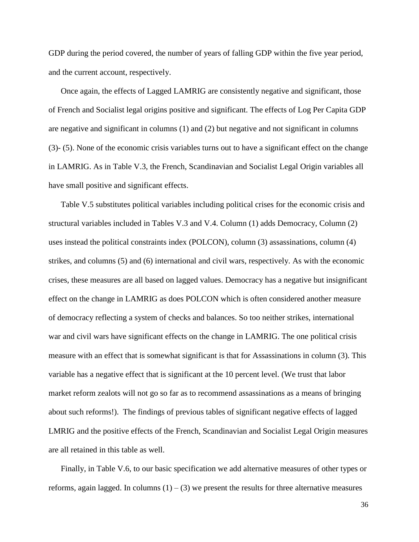GDP during the period covered, the number of years of falling GDP within the five year period, and the current account, respectively.

Once again, the effects of Lagged LAMRIG are consistently negative and significant, those of French and Socialist legal origins positive and significant. The effects of Log Per Capita GDP are negative and significant in columns (1) and (2) but negative and not significant in columns (3)- (5). None of the economic crisis variables turns out to have a significant effect on the change in LAMRIG. As in Table V.3, the French, Scandinavian and Socialist Legal Origin variables all have small positive and significant effects.

Table V.5 substitutes political variables including political crises for the economic crisis and structural variables included in Tables V.3 and V.4. Column (1) adds Democracy, Column (2) uses instead the political constraints index (POLCON), column (3) assassinations, column (4) strikes, and columns (5) and (6) international and civil wars, respectively. As with the economic crises, these measures are all based on lagged values. Democracy has a negative but insignificant effect on the change in LAMRIG as does POLCON which is often considered another measure of democracy reflecting a system of checks and balances. So too neither strikes, international war and civil wars have significant effects on the change in LAMRIG. The one political crisis measure with an effect that is somewhat significant is that for Assassinations in column (3). This variable has a negative effect that is significant at the 10 percent level. (We trust that labor market reform zealots will not go so far as to recommend assassinations as a means of bringing about such reforms!). The findings of previous tables of significant negative effects of lagged LMRIG and the positive effects of the French, Scandinavian and Socialist Legal Origin measures are all retained in this table as well.

Finally, in Table V.6, to our basic specification we add alternative measures of other types or reforms, again lagged. In columns  $(1) - (3)$  we present the results for three alternative measures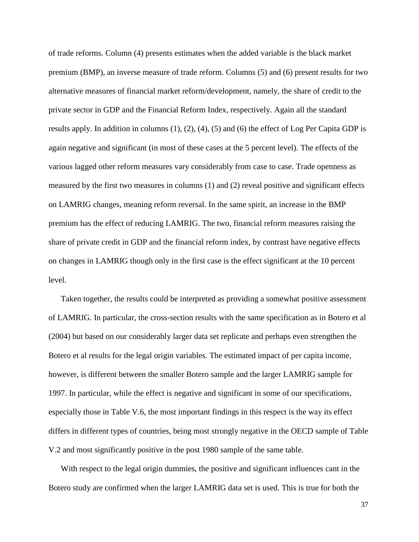of trade reforms. Column (4) presents estimates when the added variable is the black market premium (BMP), an inverse measure of trade reform. Columns (5) and (6) present results for two alternative measures of financial market reform/development, namely, the share of credit to the private sector in GDP and the Financial Reform Index, respectively. Again all the standard results apply. In addition in columns (1), (2), (4), (5) and (6) the effect of Log Per Capita GDP is again negative and significant (in most of these cases at the 5 percent level). The effects of the various lagged other reform measures vary considerably from case to case. Trade openness as measured by the first two measures in columns (1) and (2) reveal positive and significant effects on LAMRIG changes, meaning reform reversal. In the same spirit, an increase in the BMP premium has the effect of reducing LAMRIG. The two, financial reform measures raising the share of private credit in GDP and the financial reform index, by contrast have negative effects on changes in LAMRIG though only in the first case is the effect significant at the 10 percent level.

Taken together, the results could be interpreted as providing a somewhat positive assessment of LAMRIG. In particular, the cross-section results with the same specification as in Botero et al (2004) but based on our considerably larger data set replicate and perhaps even strengthen the Botero et al results for the legal origin variables. The estimated impact of per capita income, however, is different between the smaller Botero sample and the larger LAMRIG sample for 1997. In particular, while the effect is negative and significant in some of our specifications, especially those in Table V.6, the most important findings in this respect is the way its effect differs in different types of countries, being most strongly negative in the OECD sample of Table V.2 and most significantly positive in the post 1980 sample of the same table.

With respect to the legal origin dummies, the positive and significant influences cant in the Botero study are confirmed when the larger LAMRIG data set is used. This is true for both the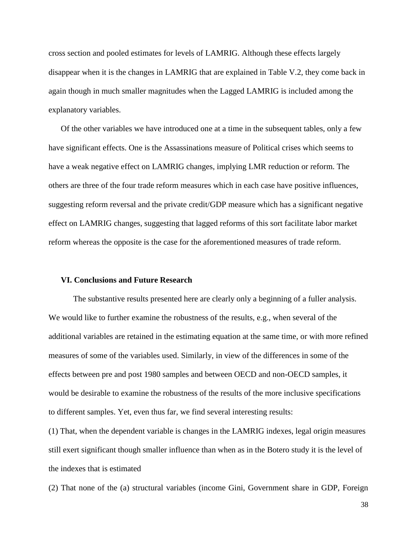cross section and pooled estimates for levels of LAMRIG. Although these effects largely disappear when it is the changes in LAMRIG that are explained in Table V.2, they come back in again though in much smaller magnitudes when the Lagged LAMRIG is included among the explanatory variables.

Of the other variables we have introduced one at a time in the subsequent tables, only a few have significant effects. One is the Assassinations measure of Political crises which seems to have a weak negative effect on LAMRIG changes, implying LMR reduction or reform. The others are three of the four trade reform measures which in each case have positive influences, suggesting reform reversal and the private credit/GDP measure which has a significant negative effect on LAMRIG changes, suggesting that lagged reforms of this sort facilitate labor market reform whereas the opposite is the case for the aforementioned measures of trade reform.

## **VI. Conclusions and Future Research**

The substantive results presented here are clearly only a beginning of a fuller analysis. We would like to further examine the robustness of the results, e.g., when several of the additional variables are retained in the estimating equation at the same time, or with more refined measures of some of the variables used. Similarly, in view of the differences in some of the effects between pre and post 1980 samples and between OECD and non-OECD samples, it would be desirable to examine the robustness of the results of the more inclusive specifications to different samples. Yet, even thus far, we find several interesting results:

(1) That, when the dependent variable is changes in the LAMRIG indexes, legal origin measures still exert significant though smaller influence than when as in the Botero study it is the level of the indexes that is estimated

(2) That none of the (a) structural variables (income Gini, Government share in GDP, Foreign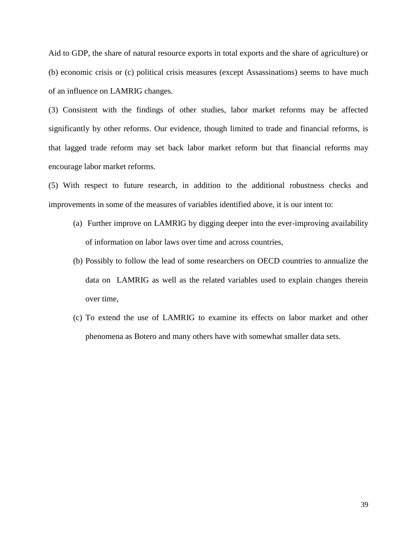Aid to GDP, the share of natural resource exports in total exports and the share of agriculture) or (b) economic crisis or (c) political crisis measures (except Assassinations) seems to have much of an influence on LAMRIG changes.

(3) Consistent with the findings of other studies, labor market reforms may be affected significantly by other reforms. Our evidence, though limited to trade and financial reforms, is that lagged trade reform may set back labor market reform but that financial reforms may encourage labor market reforms.

(5) With respect to future research, in addition to the additional robustness checks and improvements in some of the measures of variables identified above, it is our intent to:

- (a) Further improve on LAMRIG by digging deeper into the ever-improving availability of information on labor laws over time and across countries,
- (b) Possibly to follow the lead of some researchers on OECD countries to annualize the data on LAMRIG as well as the related variables used to explain changes therein over time,
- (c) To extend the use of LAMRIG to examine its effects on labor market and other phenomena as Botero and many others have with somewhat smaller data sets.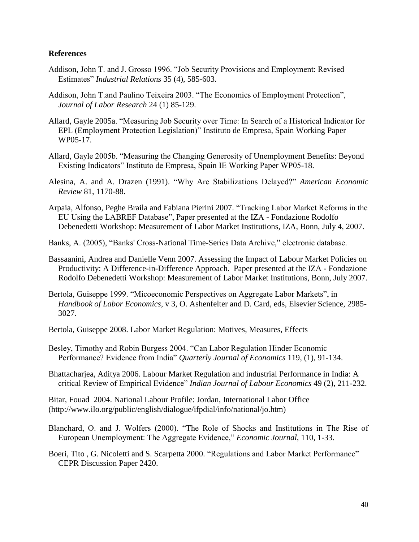### **References**

- Addison, John T. and J. Grosso 1996. "Job Security Provisions and Employment: Revised Estimates" *Industrial Relations* 35 (4), 585-603.
- Addison, John T.and Paulino Teixeira 2003. "The Economics of Employment Protection", *Journal of Labor Research* 24 (1) 85-129.
- Allard, Gayle 2005a. "Measuring Job Security over Time: In Search of a Historical Indicator for EPL (Employment Protection Legislation)" Instituto de Empresa, Spain Working Paper WP05-17.
- Allard, Gayle 2005b. "Measuring the Changing Generosity of Unemployment Benefits: Beyond Existing Indicators" Instituto de Empresa, Spain IE Working Paper WP05-18.
- Alesina, A. and A. Drazen (1991). "Why Are Stabilizations Delayed?" *American Economic Review* 81, 1170-88.
- Arpaia, Alfonso, Peghe Braila and Fabiana Pierini 2007. "Tracking Labor Market Reforms in the EU Using the LABREF Database", Paper presented at the IZA - Fondazione Rodolfo Debenedetti Workshop: Measurement of Labor Market Institutions, IZA, Bonn, July 4, 2007.
- Banks, A. (2005), "Banks' Cross-National Time-Series Data Archive," electronic database.
- Bassaanini, Andrea and Danielle Venn 2007. Assessing the Impact of Labour Market Policies on Productivity: A Difference-in-Difference Approach. Paper presented at the IZA - Fondazione Rodolfo Debenedetti Workshop: Measurement of Labor Market Institutions, Bonn, July 2007.
- Bertola, Guiseppe 1999. "Micoeconomic Perspectives on Aggregate Labor Markets", in *Handbook of Labor Economics*, v 3, O. Ashenfelter and D. Card, eds, Elsevier Science, 2985- 3027.
- Bertola, Guiseppe 2008. Labor Market Regulation: Motives, Measures, Effects
- Besley, Timothy and Robin Burgess 2004. "Can Labor Regulation Hinder Economic Performance? Evidence from India" *Quarterly Journal of Economics* 119, (1), 91-134.
- Bhattacharjea, Aditya 2006. Labour Market Regulation and industrial Performance in India: A critical Review of Empirical Evidence" *Indian Journal of Labour Economics* 49 (2), 211-232.

Bitar, Fouad 2004. National Labour Profile: Jordan, International Labor Office (http://www.ilo.org/public/english/dialogue/ifpdial/info/national/jo.htm)

- Blanchard, O. and J. Wolfers (2000). "The Role of Shocks and Institutions in The Rise of European Unemployment: The Aggregate Evidence," *Economic Journal*, 110, 1-33.
- Boeri, Tito , G. Nicoletti and S. Scarpetta 2000. "Regulations and Labor Market Performance" CEPR Discussion Paper 2420.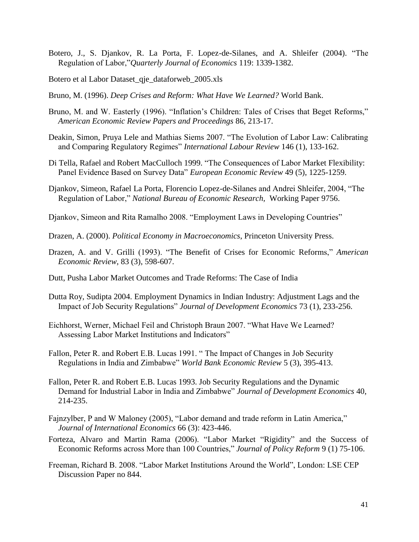- Botero, J., S. Djankov, R. La Porta, F. Lopez-de-Silanes, and A. Shleifer (2004). "The Regulation of Labor,"*Quarterly Journal of Economics* 119: 1339-1382.
- Botero et al Labor Dataset\_qje\_dataforweb\_2005.xls
- Bruno, M. (1996). *Deep Crises and Reform: What Have We Learned?* World Bank.
- Bruno, M. and W. Easterly (1996). "Inflation's Children: Tales of Crises that Beget Reforms," *American Economic Review Papers and Proceedings* 86, 213-17.
- Deakin, Simon, Pruya Lele and Mathias Siems 2007. "The Evolution of Labor Law: Calibrating and Comparing Regulatory Regimes" *International Labour Review* 146 (1), 133-162.
- Di Tella, Rafael and Robert MacCulloch 1999. "The Consequences of Labor Market Flexibility: Panel Evidence Based on Survey Data" *European Economic Review* 49 (5), 1225-1259.
- Djankov, Simeon, Rafael La Porta, Florencio Lopez-de-Silanes and Andrei Shleifer, 2004, "The Regulation of Labor," *National Bureau of Economic Research,* Working Paper 9756.
- Djankov, Simeon and Rita Ramalho 2008. "Employment Laws in Developing Countries"
- Drazen, A. (2000). *Political Economy in Macroeconomics*, Princeton University Press.
- Drazen, A. and V. Grilli (1993). "The Benefit of Crises for Economic Reforms," *American Economic Review*, 83 (3), 598-607.
- Dutt, Pusha Labor Market Outcomes and Trade Reforms: The Case of India
- Dutta Roy, Sudipta 2004. Employment Dynamics in Indian Industry: Adjustment Lags and the Impact of Job Security Regulations" *Journal of Development Economics* 73 (1), 233-256.
- Eichhorst, Werner, Michael Feil and Christoph Braun 2007. "What Have We Learned? Assessing Labor Market Institutions and Indicators"
- Fallon, Peter R. and Robert E.B. Lucas 1991. " The Impact of Changes in Job Security Regulations in India and Zimbabwe" *World Bank Economic Review* 5 (3), 395-413.
- Fallon, Peter R. and Robert E.B. Lucas 1993. Job Security Regulations and the Dynamic Demand for Industrial Labor in India and Zimbabwe" *Journal of Development Economics* 40, 214-235.
- Fajnzylber, P and W Maloney (2005), "Labor demand and trade reform in Latin America," *Journal of International Economics* 66 (3): 423-446.
- Forteza, Alvaro and Martin Rama (2006). "Labor Market "Rigidity" and the Success of Economic Reforms across More than 100 Countries," *Journal of Policy Reform* 9 (1) 75-106.
- Freeman, Richard B. 2008. "Labor Market Institutions Around the World", London: LSE CEP Discussion Paper no 844.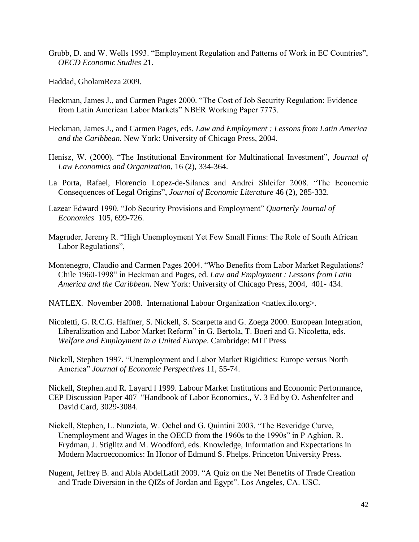- Grubb, D. and W. Wells 1993. "Employment Regulation and Patterns of Work in EC Countries", *OECD Economic Studies* 21.
- Haddad, GholamReza 2009.
- Heckman, James J., and Carmen Pages 2000. "The Cost of Job Security Regulation: Evidence from Latin American Labor Markets" NBER Working Paper 7773.
- Heckman, James J., and Carmen Pages, eds*. Law and Employment : Lessons from Latin America and the Caribbean.* New York: University of Chicago Press, 2004.
- Henisz, W. (2000). "The Institutional Environment for Multinational Investment", *Journal of Law Economics and Organization*, 16 (2), 334-364.
- La Porta, Rafael, Florencio Lopez-de-Silanes and Andrei Shleifer 2008. "The Economic Consequences of Legal Origins", *Journal of Economic Literature* 46 (2), 285-332.
- Lazear Edward 1990. "Job Security Provisions and Employment" *Quarterly Journal of Economics* 105, 699-726.
- Magruder, Jeremy R. "High Unemployment Yet Few Small Firms: The Role of South African Labor Regulations",
- Montenegro, Claudio and Carmen Pages 2004. "Who Benefits from Labor Market Regulations? Chile 1960-1998" in Heckman and Pages, ed. *Law and Employment : Lessons from Latin America and the Caribbean.* New York: University of Chicago Press, 2004, 401- 434.
- NATLEX. November 2008. International Labour Organization <natlex.ilo.org>.
- Nicoletti, G. R.C.G. Haffner, S. Nickell, S. Scarpetta and G. Zoega 2000. European Integration, Liberalization and Labor Market Reform" in G. Bertola, T. Boeri and G. Nicoletta, eds. *Welfare and Employment in a United Europe*. Cambridge: MIT Press
- Nickell, Stephen 1997*.* "Unemployment and Labor Market Rigidities: Europe versus North America" *Journal of Economic Perspectives* 11, 55-74.

Nickell, Stephen.and R. Layard l 1999. Labour Market Institutions and Economic Performance, CEP Discussion Paper 407 "Handbook of Labor Economics., V. 3 Ed by O. Ashenfelter and David Card, 3029-3084.

- Nickell, Stephen, L. Nunziata, W. Ochel and G. Quintini 2003. "The Beveridge Curve, Unemployment and Wages in the OECD from the 1960s to the 1990s" in P Aghion, R. Frydman, J. Stiglitz and M. Woodford, eds. Knowledge, Information and Expectations in Modern Macroeconomics: In Honor of Edmund S. Phelps. Princeton University Press.
- Nugent, Jeffrey B. and Abla AbdelLatif 2009. "A Quiz on the Net Benefits of Trade Creation and Trade Diversion in the QIZs of Jordan and Egypt". Los Angeles, CA. USC.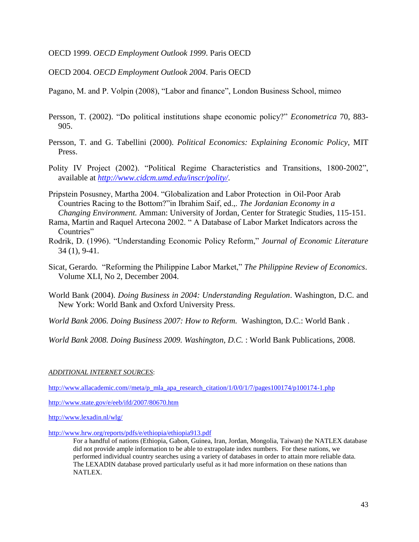OECD 1999. *OECD Employment Outlook 1999*. Paris OECD

OECD 2004. *OECD Employment Outlook 2004*. Paris OECD

Pagano, M. and P. Volpin (2008), "Labor and finance", London Business School, mimeo

- Persson, T. (2002). "Do political institutions shape economic policy?" *Econometrica* 70, 883- 905.
- Persson, T. and G. Tabellini (2000). *Political Economics: Explaining Economic Policy*, MIT Press.
- Polity IV Project (2002). "Political Regime Characteristics and Transitions, 1800-2002", available at *<http://www.cidcm.umd.edu/inscr/polity/>*.
- Pripstein Posusney, Martha 2004. "Globalization and Labor Protection in Oil-Poor Arab Countries Racing to the Bottom?"in Ibrahim Saif, ed.,. *The Jordanian Economy in a Changing Environment.* Amman: University of Jordan, Center for Strategic Studies, 115-151.
- Rama, Martin and Raquel Artecona 2002. " A Database of Labor Market Indicators across the Countries"
- Rodrik, D. (1996). "Understanding Economic Policy Reform," *Journal of Economic Literature* 34 (1), 9-41.
- Sicat, Gerardo*.* "Reforming the Philippine Labor Market," *The Philippine Review of Economics*. Volume XLI, No 2, December 2004.
- World Bank (2004). *Doing Business in 2004: Understanding Regulation*. Washington, D.C. and New York: World Bank and Oxford University Press.
- *World Bank 2006. Doing Business 2007: How to Reform.* Washington, D.C.: World Bank .

*World Bank 2008. Doing Business 2009. Washington, D.C.* : World Bank Publications, 2008.

*ADDITIONAL INTERNET SOURCES*:

[http://www.allacademic.com//meta/p\\_mla\\_apa\\_research\\_citation/1/0/0/1/7/pages100174/p100174-1.php](http://www.allacademic.com/meta/p_mla_apa_research_citation/1/0/0/1/7/pages100174/p100174-1.php)

<http://www.state.gov/e/eeb/ifd/2007/80670.htm>

<http://www.lexadin.nl/wlg/>

<http://www.hrw.org/reports/pdfs/e/ethiopia/ethiopia913.pdf>

For a handful of nations (Ethiopia, Gabon, Guinea, Iran, Jordan, Mongolia, Taiwan) the NATLEX database did not provide ample information to be able to extrapolate index numbers. For these nations, we performed individual country searches using a variety of databases in order to attain more reliable data. The LEXADIN database proved particularly useful as it had more information on these nations than NATLEX.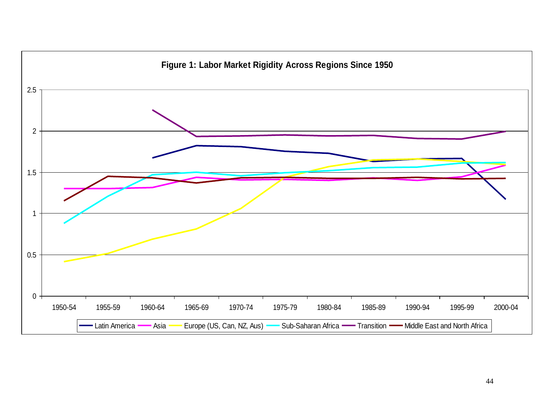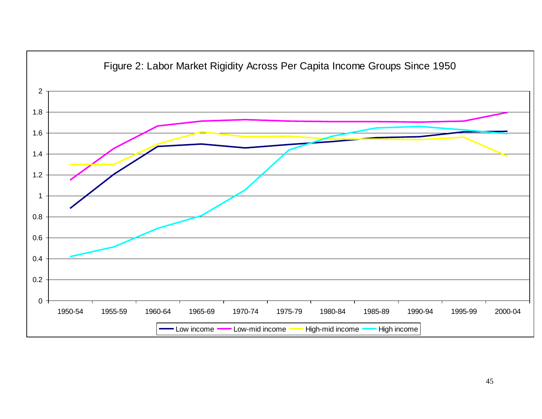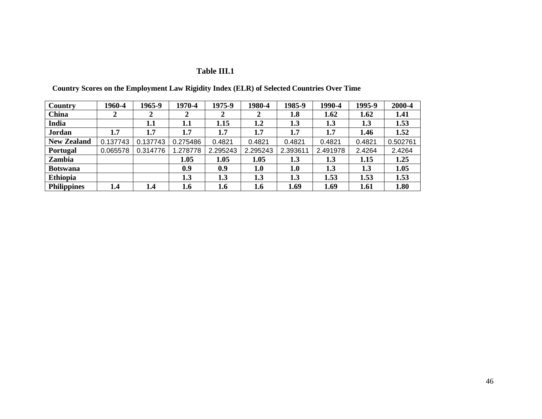# **Table III.1**

| <b>Country</b>     | 1960-4   | 1965-9   | 1970-4   | 1975-9   | 1980-4   | 1985-9   | 1990-4   | 1995-9 | 2000-4   |
|--------------------|----------|----------|----------|----------|----------|----------|----------|--------|----------|
| <b>China</b>       | 2        |          | 2        |          | 2        | 1.8      | 1.62     | 1.62   | 1.41     |
| India              |          | 1.1      | 1.1      | 1.15     | 1.2      | 1.3      | 1.3      | 1.3    | 1.53     |
| Jordan             | 1.7      | 1.7      | 1.7      | 1.7      | 1.7      | 1.7      | 1.7      | 1.46   | 1.52     |
| <b>New Zealand</b> | 0.137743 | 0.137743 | 0.275486 | 0.4821   | 0.4821   | 0.4821   | 0.4821   | 0.4821 | 0.502761 |
| <b>Portugal</b>    | 0.065578 | 0.314776 | 1.278778 | 2.295243 | 2.295243 | 2.393611 | 2.491978 | 2.4264 | 2.4264   |
| Zambia             |          |          | 1.05     | 1.05     | 1.05     | 1.3      | 1.3      | 1.15   | 1.25     |
| <b>Botswana</b>    |          |          | 0.9      | 0.9      | 1.0      | 1.0      | 1.3      | 1.3    | 1.05     |
| <b>Ethiopia</b>    |          |          | 1.3      | 1.3      | 1.3      | 1.3      | 1.53     | 1.53   | 1.53     |
| <b>Philippines</b> | 1.4      | 1.4      | 1.6      | 1.6      | 1.6      | 1.69     | 1.69     | 1.61   | 1.80     |

 **Country Scores on the Employment Law Rigidity Index (ELR) of Selected Countries Over Time**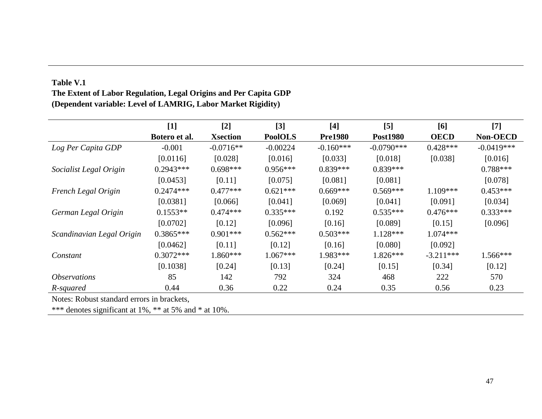|                            | $[1]$         | $[2]$           | $[3]$          | $[4]$          | $\left[5\right]$ | [6]         | $[7]$        |
|----------------------------|---------------|-----------------|----------------|----------------|------------------|-------------|--------------|
|                            | Botero et al. | <b>Xsection</b> | <b>PoolOLS</b> | <b>Pre1980</b> | <b>Post1980</b>  | <b>OECD</b> | Non-OECD     |
| Log Per Capita GDP         | $-0.001$      | $-0.0716**$     | $-0.00224$     | $-0.160***$    | $-0.0790***$     | $0.428***$  | $-0.0419***$ |
|                            | [0.0116]      | [0.028]         | [0.016]        | [0.033]        | [0.018]          | [0.038]     | [0.016]      |
| Socialist Legal Origin     | $0.2943***$   | $0.698***$      | $0.956***$     | $0.839***$     | $0.839***$       |             | $0.788***$   |
|                            | [0.0453]      | [0.11]          | [0.075]        | [0.081]        | [0.081]          |             | [0.078]      |
| French Legal Origin        | $0.2474***$   | $0.477***$      | $0.621***$     | $0.669***$     | $0.569***$       | $1.109***$  | $0.453***$   |
|                            | [0.0381]      | [0.066]         | [0.041]        | [0.069]        | [0.041]          | [0.091]     | [0.034]      |
| German Legal Origin        | $0.1553**$    | $0.474***$      | $0.335***$     | 0.192          | $0.535***$       | $0.476***$  | $0.333***$   |
|                            | [0.0702]      | [0.12]          | [0.096]        | [0.16]         | [0.089]          | [0.15]      | [0.096]      |
| Scandinavian Legal Origin  | $0.3865***$   | $0.901***$      | $0.562***$     | $0.503***$     | $1.128***$       | $1.074***$  |              |
|                            | [0.0462]      | [0.11]          | [0.12]         | [0.16]         | [0.080]          | [0.092]     |              |
| Constant                   | $0.3072***$   | $1.860***$      | $1.067***$     | 1.983***       | $1.826***$       | $-3.211***$ | $1.566***$   |
|                            | [0.1038]      | [0.24]          | [0.13]         | [0.24]         | [0.15]           | [0.34]      | [0.12]       |
| <i><b>Observations</b></i> | 85            | 142             | 792            | 324            | 468              | 222         | 570          |
| R-squared                  | 0.44          | 0.36            | 0.22           | 0.24           | 0.35             | 0.56        | 0.23         |

# **Table V.1 The Extent of Labor Regulation, Legal Origins and Per Capita GDP (Dependent variable: Level of LAMRIG, Labor Market Rigidity)**

Notes: Robust standard errors in brackets,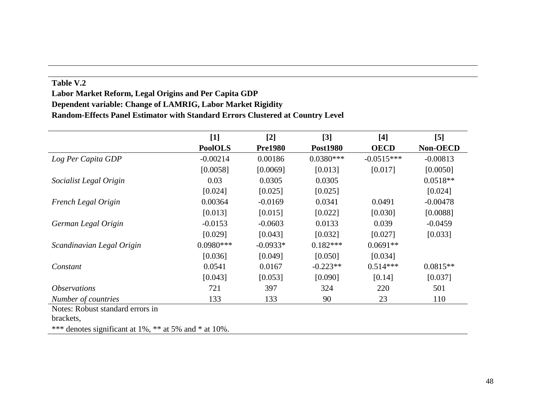## **Table V.2**

# **Labor Market Reform, Legal Origins and Per Capita GDP Dependent variable: Change of LAMRIG, Labor Market Rigidity Random-Effects Panel Estimator with Standard Errors Clustered at Country Level**

|                                                       | $[1]$          | $[2]$          | $[3]$           | $[4]$        | $[5]$      |
|-------------------------------------------------------|----------------|----------------|-----------------|--------------|------------|
|                                                       | <b>PoolOLS</b> | <b>Pre1980</b> | <b>Post1980</b> | <b>OECD</b>  | Non-OECD   |
| Log Per Capita GDP                                    | $-0.00214$     | 0.00186        | $0.0380***$     | $-0.0515***$ | $-0.00813$ |
|                                                       | [0.0058]       | [0.0069]       | [0.013]         | [0.017]      | [0.0050]   |
| Socialist Legal Origin                                | 0.03           | 0.0305         | 0.0305          |              | $0.0518**$ |
|                                                       | [0.024]        | [0.025]        | [0.025]         |              | [0.024]    |
| French Legal Origin                                   | 0.00364        | $-0.0169$      | 0.0341          | 0.0491       | $-0.00478$ |
|                                                       | [0.013]        | [0.015]        | [0.022]         | [0.030]      | [0.0088]   |
| German Legal Origin                                   | $-0.0153$      | $-0.0603$      | 0.0133          | 0.039        | $-0.0459$  |
|                                                       | [0.029]        | [0.043]        | [0.032]         | [0.027]      | [0.033]    |
| Scandinavian Legal Origin                             | $0.0980***$    | $-0.0933*$     | $0.182***$      | $0.0691**$   |            |
|                                                       | [0.036]        | [0.049]        | [0.050]         | [0.034]      |            |
| Constant                                              | 0.0541         | 0.0167         | $-0.223**$      | $0.514***$   | $0.0815**$ |
|                                                       | [0.043]        | [0.053]        | [0.090]         | [0.14]       | [0.037]    |
| <i><b>Observations</b></i>                            | 721            | 397            | 324             | 220          | 501        |
| Number of countries                                   | 133            | 133            | 90              | 23           | 110        |
| Notes: Robust standard errors in                      |                |                |                 |              |            |
| brackets,                                             |                |                |                 |              |            |
| *** denotes significant at 1%, ** at 5% and * at 10%. |                |                |                 |              |            |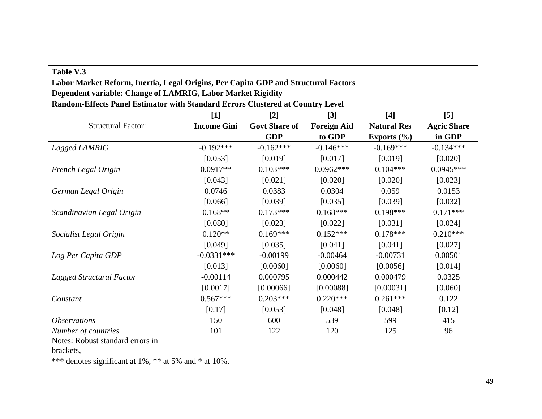# **Table V.3**

# **Labor Market Reform, Inertia, Legal Origins, Per Capita GDP and Structural Factors Dependent variable: Change of LAMRIG, Labor Market Rigidity**

**Random-Effects Panel Estimator with Standard Errors Clustered at Country Level**

|                            | $[1]$              | $[2]$                | $[3]$              | $[4]$              | $[5]$              |
|----------------------------|--------------------|----------------------|--------------------|--------------------|--------------------|
| <b>Structural Factor:</b>  | <b>Income Gini</b> | <b>Govt Share of</b> | <b>Foreign Aid</b> | <b>Natural Res</b> | <b>Agric Share</b> |
|                            |                    | <b>GDP</b>           | to GDP             | Exports $(\% )$    | in GDP             |
| Lagged LAMRIG              | $-0.192***$        | $-0.162***$          | $-0.146***$        | $-0.169***$        | $-0.134***$        |
|                            | [0.053]            | [0.019]              | [0.017]            | [0.019]            | [0.020]            |
| French Legal Origin        | $0.0917**$         | $0.103***$           | $0.0962***$        | $0.104***$         | $0.0945***$        |
|                            | [0.043]            | [0.021]              | [0.020]            | [0.020]            | [0.023]            |
| German Legal Origin        | 0.0746             | 0.0383               | 0.0304             | 0.059              | 0.0153             |
|                            | [0.066]            | [0.039]              | [0.035]            | [0.039]            | [0.032]            |
| Scandinavian Legal Origin  | $0.168**$          | $0.173***$           | $0.168***$         | $0.198***$         | $0.171***$         |
|                            | [0.080]            | [0.023]              | [0.022]            | [0.031]            | [0.024]            |
| Socialist Legal Origin     | $0.120**$          | $0.169***$           | $0.152***$         | $0.178***$         | $0.210***$         |
|                            | [0.049]            | [0.035]              | [0.041]            | [0.041]            | [0.027]            |
| Log Per Capita GDP         | $-0.0331***$       | $-0.00199$           | $-0.00464$         | $-0.00731$         | 0.00501            |
|                            | [0.013]            | [0.0060]             | [0.0060]           | [0.0056]           | [0.014]            |
| Lagged Structural Factor   | $-0.00114$         | 0.000795             | 0.000442           | 0.000479           | 0.0325             |
|                            | [0.0017]           | [0.00066]            | [0.00088]          | [0.00031]          | [0.060]            |
| Constant                   | $0.567***$         | $0.203***$           | $0.220***$         | $0.261***$         | 0.122              |
|                            | [0.17]             | [0.053]              | [0.048]            | [0.048]            | [0.12]             |
| <i><b>Observations</b></i> | 150                | 600                  | 539                | 599                | 415                |
| Number of countries        | 101                | 122                  | 120                | 125                | 96                 |

Notes: Robust standard errors in

brackets,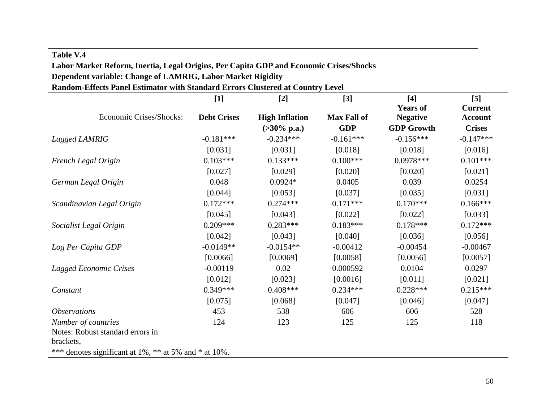# **Table V.4 Labor Market Reform, Inertia, Legal Origins, Per Capita GDP and Economic Crises/Shocks Dependent variable: Change of LAMRIG, Labor Market Rigidity Random-Effects Panel Estimator with Standard Errors Clustered at Country Level**

|                            | $[1]$              | $[2]$                  | $[3]$              | $[4]$             | $[5]$          |
|----------------------------|--------------------|------------------------|--------------------|-------------------|----------------|
|                            |                    |                        |                    | <b>Years of</b>   | <b>Current</b> |
| Economic Crises/Shocks:    | <b>Debt Crises</b> | <b>High Inflation</b>  | <b>Max Fall of</b> | <b>Negative</b>   | <b>Account</b> |
|                            |                    | $(>30\% \text{ p.a.})$ | <b>GDP</b>         | <b>GDP</b> Growth | <b>Crises</b>  |
| Lagged LAMRIG              | $-0.181***$        | $-0.234***$            | $-0.161***$        | $-0.156***$       | $-0.147***$    |
|                            | [0.031]            | [0.031]                | [0.018]            | [0.018]           | [0.016]        |
| French Legal Origin        | $0.103***$         | $0.133***$             | $0.100***$         | $0.0978***$       | $0.101***$     |
|                            | [0.027]            | [0.029]                | [0.020]            | [0.020]           | [0.021]        |
| German Legal Origin        | 0.048              | $0.0924*$              | 0.0405             | 0.039             | 0.0254         |
|                            | [0.044]            | [0.053]                | [0.037]            | [0.035]           | [0.031]        |
| Scandinavian Legal Origin  | $0.172***$         | $0.274***$             | $0.171***$         | $0.170***$        | $0.166***$     |
|                            | [0.045]            | [0.043]                | [0.022]            | [0.022]           | [0.033]        |
| Socialist Legal Origin     | $0.209***$         | $0.283***$             | $0.183***$         | $0.178***$        | $0.172***$     |
|                            | [0.042]            | [0.043]                | [0.040]            | [0.036]           | [0.056]        |
| Log Per Capita GDP         | $-0.0149**$        | $-0.0154**$            | $-0.00412$         | $-0.00454$        | $-0.00467$     |
|                            | [0.0066]           | [0.0069]               | [0.0058]           | [0.0056]          | [0.0057]       |
| Lagged Economic Crises     | $-0.00119$         | 0.02                   | 0.000592           | 0.0104            | 0.0297         |
|                            | [0.012]            | [0.023]                | [0.0016]           | [0.011]           | [0.021]        |
| Constant                   | $0.349***$         | $0.408***$             | $0.234***$         | $0.228***$        | $0.215***$     |
|                            | [0.075]            | [0.068]                | [0.047]            | [0.046]           | [0.047]        |
| <i><b>Observations</b></i> | 453                | 538                    | 606                | 606               | 528            |
| Number of countries        | 124                | 123                    | 125                | 125               | 118            |

Notes: Robust standard errors in

brackets,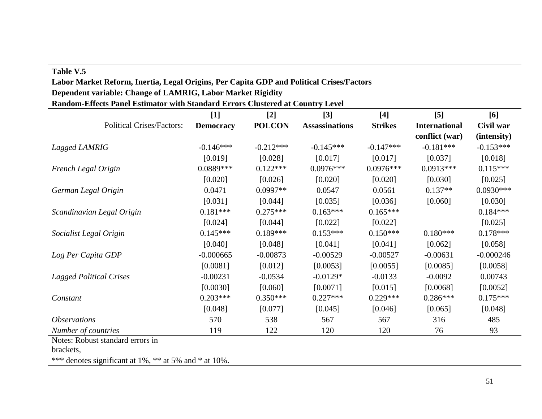## **Table V.5**

# **Labor Market Reform, Inertia, Legal Origins, Per Capita GDP and Political Crises/Factors Dependent variable: Change of LAMRIG, Labor Market Rigidity**

**Random-Effects Panel Estimator with Standard Errors Clustered at Country Level**

|                                  | $[1]$            | $[2]$         | $[3]$                 | $[4]$          | $\left[5\right]$     | [6]         |
|----------------------------------|------------------|---------------|-----------------------|----------------|----------------------|-------------|
| <b>Political Crises/Factors:</b> | <b>Democracy</b> | <b>POLCON</b> | <b>Assassinations</b> | <b>Strikes</b> | <b>International</b> | Civil war   |
|                                  |                  |               |                       |                | conflict (war)       | (intensity) |
| Lagged LAMRIG                    | $-0.146***$      | $-0.212***$   | $-0.145***$           | $-0.147***$    | $-0.181***$          | $-0.153***$ |
|                                  | [0.019]          | [0.028]       | [0.017]               | [0.017]        | [0.037]              | [0.018]     |
| French Legal Origin              | $0.0889***$      | $0.122***$    | $0.0976***$           | $0.0976***$    | $0.0913***$          | $0.115***$  |
|                                  | [0.020]          | [0.026]       | [0.020]               | [0.020]        | [0.030]              | [0.025]     |
| German Legal Origin              | 0.0471           | $0.0997**$    | 0.0547                | 0.0561         | $0.137**$            | $0.0930***$ |
|                                  | [0.031]          | [0.044]       | [0.035]               | [0.036]        | [0.060]              | [0.030]     |
| Scandinavian Legal Origin        | $0.181***$       | $0.275***$    | $0.163***$            | $0.165***$     |                      | $0.184***$  |
|                                  | [0.024]          | [0.044]       | [0.022]               | [0.022]        |                      | [0.025]     |
| Socialist Legal Origin           | $0.145***$       | $0.189***$    | $0.153***$            | $0.150***$     | $0.180***$           | $0.178***$  |
|                                  | [0.040]          | [0.048]       | [0.041]               | [0.041]        | [0.062]              | [0.058]     |
| Log Per Capita GDP               | $-0.000665$      | $-0.00873$    | $-0.00529$            | $-0.00527$     | $-0.00631$           | $-0.000246$ |
|                                  | [0.0081]         | [0.012]       | [0.0053]              | [0.0055]       | [0.0085]             | [0.0058]    |
| <b>Lagged Political Crises</b>   | $-0.00231$       | $-0.0534$     | $-0.0129*$            | $-0.0133$      | $-0.0092$            | 0.00743     |
|                                  | [0.0030]         | [0.060]       | [0.0071]              | [0.015]        | [0.0068]             | [0.0052]    |
| Constant                         | $0.203***$       | $0.350***$    | $0.227***$            | $0.229***$     | $0.286***$           | $0.175***$  |
|                                  | [0.048]          | [0.077]       | [0.045]               | [0.046]        | [0.065]              | [0.048]     |
| <i><b>Observations</b></i>       | 570              | 538           | 567                   | 567            | 316                  | 485         |
| Number of countries              | 119              | 122           | 120                   | 120            | 76                   | 93          |

Notes: Robust standard errors in

brackets,